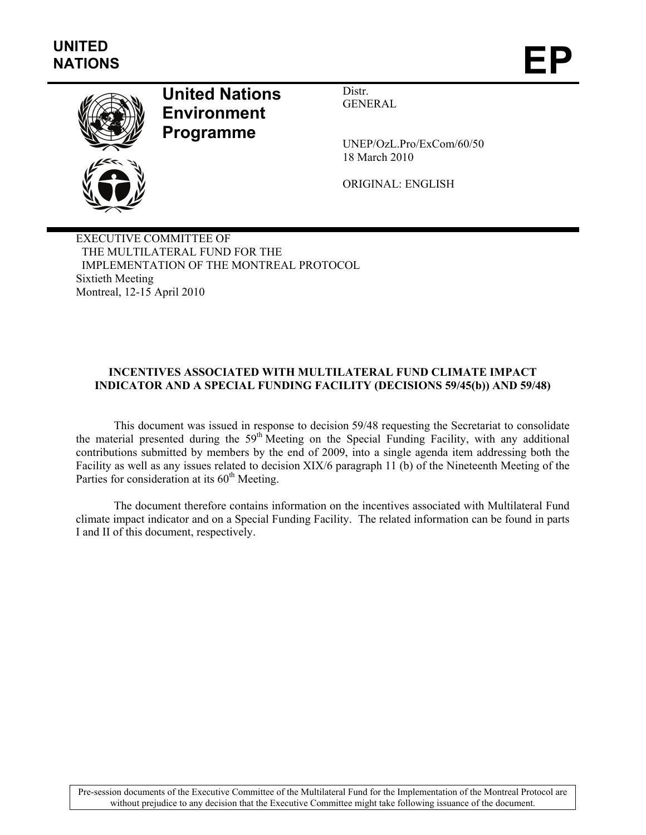

# **United Nations Environment Programme**

Distr. GENERAL

UNEP/OzL.Pro/ExCom/60/50 18 March 2010

ORIGINAL: ENGLISH

EXECUTIVE COMMITTEE OF THE MULTILATERAL FUND FOR THE IMPLEMENTATION OF THE MONTREAL PROTOCOL Sixtieth Meeting Montreal, 12-15 April 2010

## **INCENTIVES ASSOCIATED WITH MULTILATERAL FUND CLIMATE IMPACT INDICATOR AND A SPECIAL FUNDING FACILITY (DECISIONS 59/45(b)) AND 59/48)**

This document was issued in response to decision 59/48 requesting the Secretariat to consolidate the material presented during the 59<sup>th</sup> Meeting on the Special Funding Facility, with any additional contributions submitted by members by the end of 2009, into a single agenda item addressing both the Facility as well as any issues related to decision XIX/6 paragraph 11 (b) of the Nineteenth Meeting of the Parties for consideration at its  $60<sup>th</sup>$  Meeting.

The document therefore contains information on the incentives associated with Multilateral Fund climate impact indicator and on a Special Funding Facility. The related information can be found in parts I and II of this document, respectively.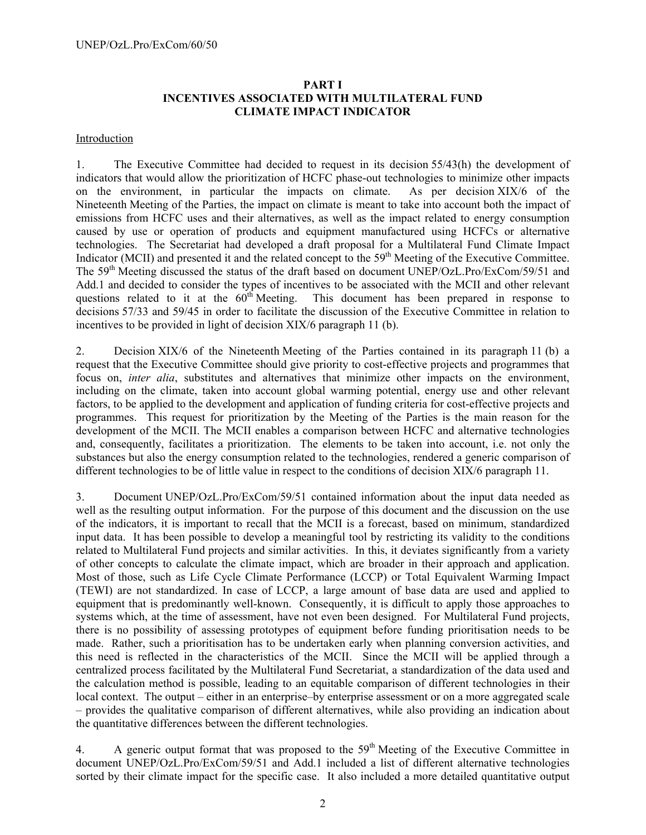#### **PART I INCENTIVES ASSOCIATED WITH MULTILATERAL FUND CLIMATE IMPACT INDICATOR**

#### Introduction

1. The Executive Committee had decided to request in its decision 55/43(h) the development of indicators that would allow the prioritization of HCFC phase-out technologies to minimize other impacts<br>on the environment, in particular the impacts on climate. As per decision XIX/6 of the on the environment, in particular the impacts on climate. Nineteenth Meeting of the Parties, the impact on climate is meant to take into account both the impact of emissions from HCFC uses and their alternatives, as well as the impact related to energy consumption caused by use or operation of products and equipment manufactured using HCFCs or alternative technologies. The Secretariat had developed a draft proposal for a Multilateral Fund Climate Impact Indicator (MCII) and presented it and the related concept to the  $59<sup>th</sup>$  Meeting of the Executive Committee. The 59<sup>th</sup> Meeting discussed the status of the draft based on document UNEP/OzL.Pro/ExCom/59/51 and Add.1 and decided to consider the types of incentives to be associated with the MCII and other relevant questions related to it at the  $60<sup>th</sup>$  Meeting. This document has been prepared in response to decisions 57/33 and 59/45 in order to facilitate the discussion of the Executive Committee in relation to incentives to be provided in light of decision XIX/6 paragraph 11 (b).

2. Decision XIX/6 of the Nineteenth Meeting of the Parties contained in its paragraph 11 (b) a request that the Executive Committee should give priority to cost-effective projects and programmes that focus on, *inter alia*, substitutes and alternatives that minimize other impacts on the environment, including on the climate, taken into account global warming potential, energy use and other relevant factors, to be applied to the development and application of funding criteria for cost-effective projects and programmes. This request for prioritization by the Meeting of the Parties is the main reason for the development of the MCII. The MCII enables a comparison between HCFC and alternative technologies and, consequently, facilitates a prioritization. The elements to be taken into account, i.e. not only the substances but also the energy consumption related to the technologies, rendered a generic comparison of different technologies to be of little value in respect to the conditions of decision XIX/6 paragraph 11.

3. Document UNEP/OzL.Pro/ExCom/59/51 contained information about the input data needed as well as the resulting output information. For the purpose of this document and the discussion on the use of the indicators, it is important to recall that the MCII is a forecast, based on minimum, standardized input data. It has been possible to develop a meaningful tool by restricting its validity to the conditions related to Multilateral Fund projects and similar activities. In this, it deviates significantly from a variety of other concepts to calculate the climate impact, which are broader in their approach and application. Most of those, such as Life Cycle Climate Performance (LCCP) or Total Equivalent Warming Impact (TEWI) are not standardized. In case of LCCP, a large amount of base data are used and applied to equipment that is predominantly well-known. Consequently, it is difficult to apply those approaches to systems which, at the time of assessment, have not even been designed. For Multilateral Fund projects, there is no possibility of assessing prototypes of equipment before funding prioritisation needs to be made. Rather, such a prioritisation has to be undertaken early when planning conversion activities, and this need is reflected in the characteristics of the MCII. Since the MCII will be applied through a centralized process facilitated by the Multilateral Fund Secretariat, a standardization of the data used and the calculation method is possible, leading to an equitable comparison of different technologies in their local context. The output – either in an enterprise–by enterprise assessment or on a more aggregated scale – provides the qualitative comparison of different alternatives, while also providing an indication about the quantitative differences between the different technologies.

4. A generic output format that was proposed to the  $59<sup>th</sup>$  Meeting of the Executive Committee in document UNEP/OzL.Pro/ExCom/59/51 and Add.1 included a list of different alternative technologies sorted by their climate impact for the specific case. It also included a more detailed quantitative output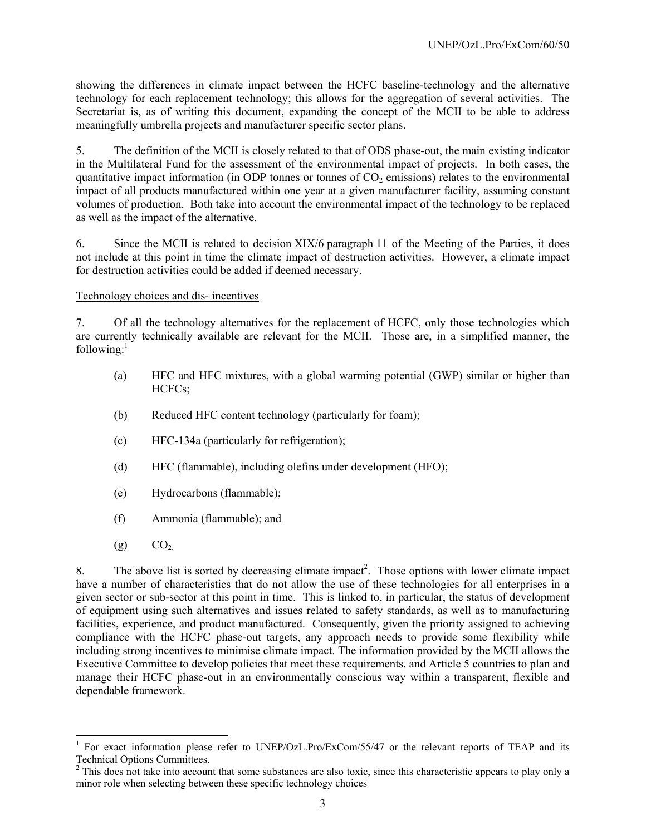showing the differences in climate impact between the HCFC baseline-technology and the alternative technology for each replacement technology; this allows for the aggregation of several activities. The Secretariat is, as of writing this document, expanding the concept of the MCII to be able to address meaningfully umbrella projects and manufacturer specific sector plans.

5. The definition of the MCII is closely related to that of ODS phase-out, the main existing indicator in the Multilateral Fund for the assessment of the environmental impact of projects. In both cases, the quantitative impact information (in ODP tonnes or tonnes of  $CO<sub>2</sub>$  emissions) relates to the environmental impact of all products manufactured within one year at a given manufacturer facility, assuming constant volumes of production. Both take into account the environmental impact of the technology to be replaced as well as the impact of the alternative.

6. Since the MCII is related to decision XIX/6 paragraph 11 of the Meeting of the Parties, it does not include at this point in time the climate impact of destruction activities. However, a climate impact for destruction activities could be added if deemed necessary.

# Technology choices and dis- incentives

7. Of all the technology alternatives for the replacement of HCFC, only those technologies which are currently technically available are relevant for the MCII. Those are, in a simplified manner, the following: $<sup>1</sup>$ </sup>

- (a) HFC and HFC mixtures, with a global warming potential (GWP) similar or higher than HCFCs;
- (b) Reduced HFC content technology (particularly for foam);
- (c) HFC-134a (particularly for refrigeration);
- (d) HFC (flammable), including olefins under development (HFO);
- (e) Hydrocarbons (flammable);
- (f) Ammonia (flammable); and
- $(g)$   $CO<sub>2</sub>$

8. The above list is sorted by decreasing climate impact<sup>2</sup>. Those options with lower climate impact have a number of characteristics that do not allow the use of these technologies for all enterprises in a given sector or sub-sector at this point in time. This is linked to, in particular, the status of development of equipment using such alternatives and issues related to safety standards, as well as to manufacturing facilities, experience, and product manufactured. Consequently, given the priority assigned to achieving compliance with the HCFC phase-out targets, any approach needs to provide some flexibility while including strong incentives to minimise climate impact. The information provided by the MCII allows the Executive Committee to develop policies that meet these requirements, and Article 5 countries to plan and manage their HCFC phase-out in an environmentally conscious way within a transparent, flexible and dependable framework.

 $\overline{\phantom{a}}$ <sup>1</sup> For exact information please refer to UNEP/OzL.Pro/ExCom/55/47 or the relevant reports of TEAP and its Technical Options Committees.

 $2^2$  This does not take into account that some substances are also toxic, since this characteristic appears to play only a minor role when selecting between these specific technology choices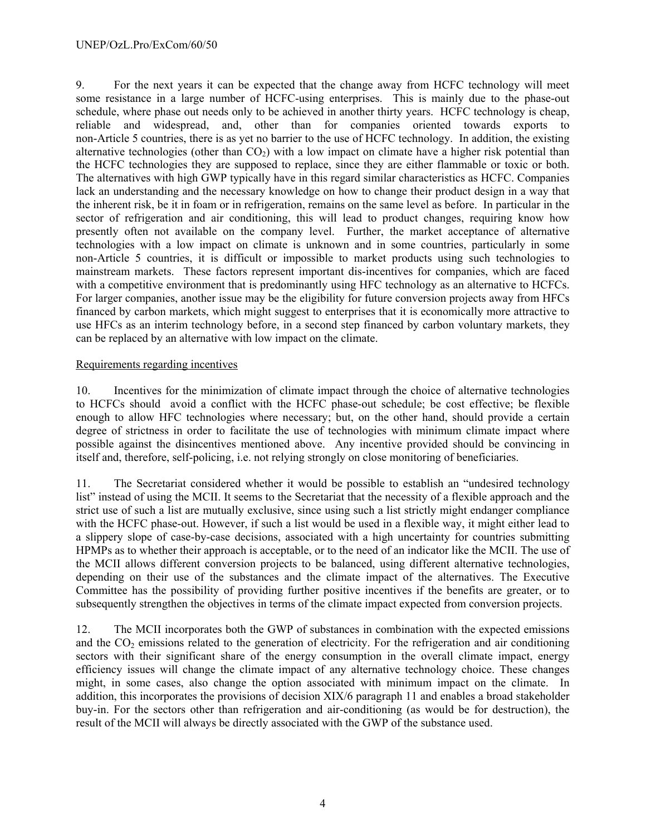9. For the next years it can be expected that the change away from HCFC technology will meet some resistance in a large number of HCFC-using enterprises. This is mainly due to the phase-out schedule, where phase out needs only to be achieved in another thirty years. HCFC technology is cheap, reliable and widespread, and, other than for companies oriented towards exports to non-Article 5 countries, there is as yet no barrier to the use of HCFC technology. In addition, the existing alternative technologies (other than  $CO<sub>2</sub>$ ) with a low impact on climate have a higher risk potential than the HCFC technologies they are supposed to replace, since they are either flammable or toxic or both. The alternatives with high GWP typically have in this regard similar characteristics as HCFC. Companies lack an understanding and the necessary knowledge on how to change their product design in a way that the inherent risk, be it in foam or in refrigeration, remains on the same level as before. In particular in the sector of refrigeration and air conditioning, this will lead to product changes, requiring know how presently often not available on the company level. Further, the market acceptance of alternative technologies with a low impact on climate is unknown and in some countries, particularly in some non-Article 5 countries, it is difficult or impossible to market products using such technologies to mainstream markets. These factors represent important dis-incentives for companies, which are faced with a competitive environment that is predominantly using HFC technology as an alternative to HCFCs. For larger companies, another issue may be the eligibility for future conversion projects away from HFCs financed by carbon markets, which might suggest to enterprises that it is economically more attractive to use HFCs as an interim technology before, in a second step financed by carbon voluntary markets, they can be replaced by an alternative with low impact on the climate.

#### Requirements regarding incentives

10. Incentives for the minimization of climate impact through the choice of alternative technologies to HCFCs should avoid a conflict with the HCFC phase-out schedule; be cost effective; be flexible enough to allow HFC technologies where necessary; but, on the other hand, should provide a certain degree of strictness in order to facilitate the use of technologies with minimum climate impact where possible against the disincentives mentioned above. Any incentive provided should be convincing in itself and, therefore, self-policing, i.e. not relying strongly on close monitoring of beneficiaries.

11. The Secretariat considered whether it would be possible to establish an "undesired technology list" instead of using the MCII. It seems to the Secretariat that the necessity of a flexible approach and the strict use of such a list are mutually exclusive, since using such a list strictly might endanger compliance with the HCFC phase-out. However, if such a list would be used in a flexible way, it might either lead to a slippery slope of case-by-case decisions, associated with a high uncertainty for countries submitting HPMPs as to whether their approach is acceptable, or to the need of an indicator like the MCII. The use of the MCII allows different conversion projects to be balanced, using different alternative technologies, depending on their use of the substances and the climate impact of the alternatives. The Executive Committee has the possibility of providing further positive incentives if the benefits are greater, or to subsequently strengthen the objectives in terms of the climate impact expected from conversion projects.

12. The MCII incorporates both the GWP of substances in combination with the expected emissions and the  $CO<sub>2</sub>$  emissions related to the generation of electricity. For the refrigeration and air conditioning sectors with their significant share of the energy consumption in the overall climate impact, energy efficiency issues will change the climate impact of any alternative technology choice. These changes might, in some cases, also change the option associated with minimum impact on the climate. In addition, this incorporates the provisions of decision XIX/6 paragraph 11 and enables a broad stakeholder buy-in. For the sectors other than refrigeration and air-conditioning (as would be for destruction), the result of the MCII will always be directly associated with the GWP of the substance used.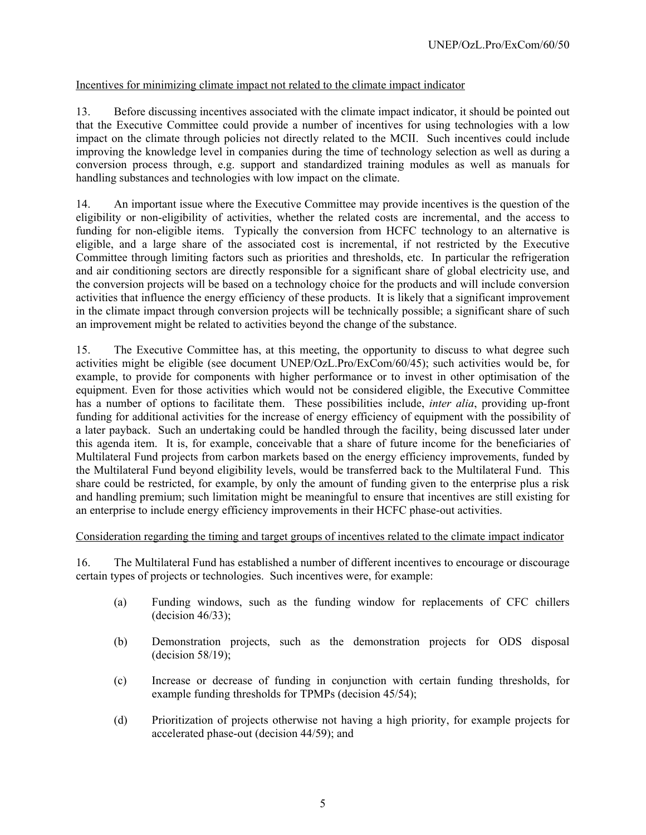# Incentives for minimizing climate impact not related to the climate impact indicator

13. Before discussing incentives associated with the climate impact indicator, it should be pointed out that the Executive Committee could provide a number of incentives for using technologies with a low impact on the climate through policies not directly related to the MCII. Such incentives could include improving the knowledge level in companies during the time of technology selection as well as during a conversion process through, e.g. support and standardized training modules as well as manuals for handling substances and technologies with low impact on the climate.

14. An important issue where the Executive Committee may provide incentives is the question of the eligibility or non-eligibility of activities, whether the related costs are incremental, and the access to funding for non-eligible items. Typically the conversion from HCFC technology to an alternative is eligible, and a large share of the associated cost is incremental, if not restricted by the Executive Committee through limiting factors such as priorities and thresholds, etc. In particular the refrigeration and air conditioning sectors are directly responsible for a significant share of global electricity use, and the conversion projects will be based on a technology choice for the products and will include conversion activities that influence the energy efficiency of these products. It is likely that a significant improvement in the climate impact through conversion projects will be technically possible; a significant share of such an improvement might be related to activities beyond the change of the substance.

15. The Executive Committee has, at this meeting, the opportunity to discuss to what degree such activities might be eligible (see document UNEP/OzL.Pro/ExCom/60/45); such activities would be, for example, to provide for components with higher performance or to invest in other optimisation of the equipment. Even for those activities which would not be considered eligible, the Executive Committee has a number of options to facilitate them. These possibilities include, *inter alia*, providing up-front funding for additional activities for the increase of energy efficiency of equipment with the possibility of a later payback. Such an undertaking could be handled through the facility, being discussed later under this agenda item. It is, for example, conceivable that a share of future income for the beneficiaries of Multilateral Fund projects from carbon markets based on the energy efficiency improvements, funded by the Multilateral Fund beyond eligibility levels, would be transferred back to the Multilateral Fund. This share could be restricted, for example, by only the amount of funding given to the enterprise plus a risk and handling premium; such limitation might be meaningful to ensure that incentives are still existing for an enterprise to include energy efficiency improvements in their HCFC phase-out activities.

#### Consideration regarding the timing and target groups of incentives related to the climate impact indicator

16. The Multilateral Fund has established a number of different incentives to encourage or discourage certain types of projects or technologies. Such incentives were, for example:

- (a) Funding windows, such as the funding window for replacements of CFC chillers  $-decision 46/33$ ;
- (b) Demonstration projects, such as the demonstration projects for ODS disposal (decision 58/19);
- (c) Increase or decrease of funding in conjunction with certain funding thresholds, for example funding thresholds for TPMPs (decision 45/54);
- (d) Prioritization of projects otherwise not having a high priority, for example projects for accelerated phase-out (decision 44/59); and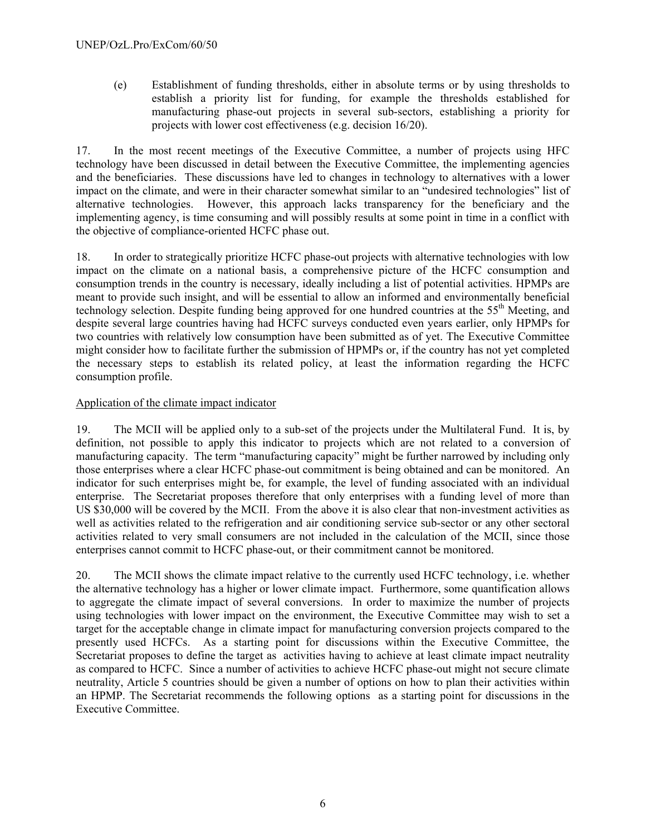(e) Establishment of funding thresholds, either in absolute terms or by using thresholds to establish a priority list for funding, for example the thresholds established for manufacturing phase-out projects in several sub-sectors, establishing a priority for projects with lower cost effectiveness (e.g. decision 16/20).

17. In the most recent meetings of the Executive Committee, a number of projects using HFC technology have been discussed in detail between the Executive Committee, the implementing agencies and the beneficiaries. These discussions have led to changes in technology to alternatives with a lower impact on the climate, and were in their character somewhat similar to an "undesired technologies" list of alternative technologies. However, this approach lacks transparency for the beneficiary and the implementing agency, is time consuming and will possibly results at some point in time in a conflict with the objective of compliance-oriented HCFC phase out.

18. In order to strategically prioritize HCFC phase-out projects with alternative technologies with low impact on the climate on a national basis, a comprehensive picture of the HCFC consumption and consumption trends in the country is necessary, ideally including a list of potential activities. HPMPs are meant to provide such insight, and will be essential to allow an informed and environmentally beneficial technology selection. Despite funding being approved for one hundred countries at the 55<sup>th</sup> Meeting, and despite several large countries having had HCFC surveys conducted even years earlier, only HPMPs for two countries with relatively low consumption have been submitted as of yet. The Executive Committee might consider how to facilitate further the submission of HPMPs or, if the country has not yet completed the necessary steps to establish its related policy, at least the information regarding the HCFC consumption profile.

# Application of the climate impact indicator

19. The MCII will be applied only to a sub-set of the projects under the Multilateral Fund. It is, by definition, not possible to apply this indicator to projects which are not related to a conversion of manufacturing capacity. The term "manufacturing capacity" might be further narrowed by including only those enterprises where a clear HCFC phase-out commitment is being obtained and can be monitored. An indicator for such enterprises might be, for example, the level of funding associated with an individual enterprise. The Secretariat proposes therefore that only enterprises with a funding level of more than US \$30,000 will be covered by the MCII. From the above it is also clear that non-investment activities as well as activities related to the refrigeration and air conditioning service sub-sector or any other sectoral activities related to very small consumers are not included in the calculation of the MCII, since those enterprises cannot commit to HCFC phase-out, or their commitment cannot be monitored.

20. The MCII shows the climate impact relative to the currently used HCFC technology, i.e. whether the alternative technology has a higher or lower climate impact. Furthermore, some quantification allows to aggregate the climate impact of several conversions. In order to maximize the number of projects using technologies with lower impact on the environment, the Executive Committee may wish to set a target for the acceptable change in climate impact for manufacturing conversion projects compared to the presently used HCFCs. As a starting point for discussions within the Executive Committee, the Secretariat proposes to define the target as activities having to achieve at least climate impact neutrality as compared to HCFC. Since a number of activities to achieve HCFC phase-out might not secure climate neutrality, Article 5 countries should be given a number of options on how to plan their activities within an HPMP. The Secretariat recommends the following options as a starting point for discussions in the Executive Committee.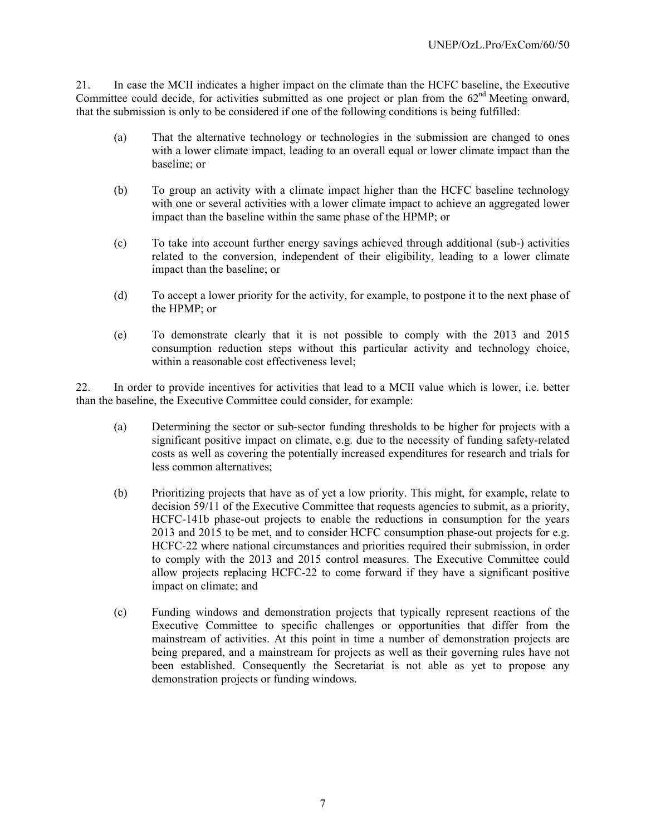21. In case the MCII indicates a higher impact on the climate than the HCFC baseline, the Executive Committee could decide, for activities submitted as one project or plan from the  $62<sup>nd</sup>$  Meeting onward, that the submission is only to be considered if one of the following conditions is being fulfilled:

- (a) That the alternative technology or technologies in the submission are changed to ones with a lower climate impact, leading to an overall equal or lower climate impact than the baseline; or
- (b) To group an activity with a climate impact higher than the HCFC baseline technology with one or several activities with a lower climate impact to achieve an aggregated lower impact than the baseline within the same phase of the HPMP; or
- (c) To take into account further energy savings achieved through additional (sub-) activities related to the conversion, independent of their eligibility, leading to a lower climate impact than the baseline; or
- (d) To accept a lower priority for the activity, for example, to postpone it to the next phase of the HPMP; or
- (e) To demonstrate clearly that it is not possible to comply with the 2013 and 2015 consumption reduction steps without this particular activity and technology choice, within a reasonable cost effectiveness level:

22. In order to provide incentives for activities that lead to a MCII value which is lower, i.e. better than the baseline, the Executive Committee could consider, for example:

- (a) Determining the sector or sub-sector funding thresholds to be higher for projects with a significant positive impact on climate, e.g. due to the necessity of funding safety-related costs as well as covering the potentially increased expenditures for research and trials for less common alternatives;
- (b) Prioritizing projects that have as of yet a low priority. This might, for example, relate to decision 59/11 of the Executive Committee that requests agencies to submit, as a priority, HCFC-141b phase-out projects to enable the reductions in consumption for the years 2013 and 2015 to be met, and to consider HCFC consumption phase-out projects for e.g. HCFC-22 where national circumstances and priorities required their submission, in order to comply with the 2013 and 2015 control measures. The Executive Committee could allow projects replacing HCFC-22 to come forward if they have a significant positive impact on climate; and
- (c) Funding windows and demonstration projects that typically represent reactions of the Executive Committee to specific challenges or opportunities that differ from the mainstream of activities. At this point in time a number of demonstration projects are being prepared, and a mainstream for projects as well as their governing rules have not been established. Consequently the Secretariat is not able as yet to propose any demonstration projects or funding windows.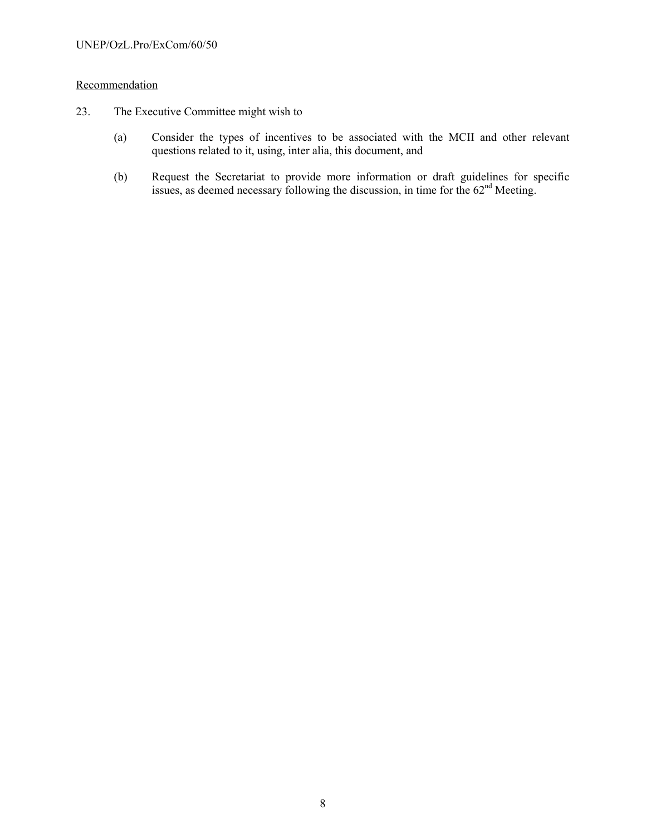## Recommendation

- 23. The Executive Committee might wish to
	- (a) Consider the types of incentives to be associated with the MCII and other relevant questions related to it, using, inter alia, this document, and
	- (b) Request the Secretariat to provide more information or draft guidelines for specific issues, as deemed necessary following the discussion, in time for the  $62<sup>nd</sup>$  Meeting.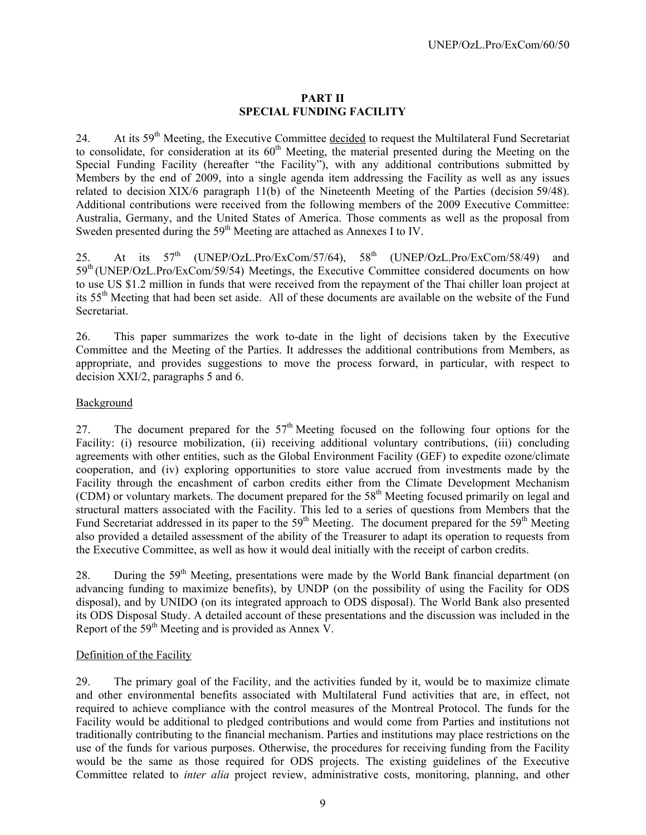## **PART II SPECIAL FUNDING FACILITY**

24. At its 59<sup>th</sup> Meeting, the Executive Committee decided to request the Multilateral Fund Secretariat to consolidate, for consideration at its  $60<sup>th</sup>$  Meeting, the material presented during the Meeting on the Special Funding Facility (hereafter "the Facility"), with any additional contributions submitted by Members by the end of 2009, into a single agenda item addressing the Facility as well as any issues related to decision XIX/6 paragraph 11(b) of the Nineteenth Meeting of the Parties (decision 59/48). Additional contributions were received from the following members of the 2009 Executive Committee: Australia, Germany, and the United States of America. Those comments as well as the proposal from Sweden presented during the 59<sup>th</sup> Meeting are attached as Annexes I to IV.

25. At its 57<sup>th</sup> (UNEP/OzL.Pro/ExCom/57/64), 58<sup>th</sup> (UNEP/OzL.Pro/ExCom/58/49) and 59<sup>th</sup> (UNEP/OzL.Pro/ExCom/59/54) Meetings, the Executive Committee considered documents on how to use US \$1.2 million in funds that were received from the repayment of the Thai chiller loan project at its 55th Meeting that had been set aside. All of these documents are available on the website of the Fund Secretariat.

26. This paper summarizes the work to-date in the light of decisions taken by the Executive Committee and the Meeting of the Parties. It addresses the additional contributions from Members, as appropriate, and provides suggestions to move the process forward, in particular, with respect to decision XXI/2, paragraphs 5 and 6.

# Background

27. The document prepared for the  $57<sup>th</sup>$  Meeting focused on the following four options for the Facility: (i) resource mobilization, (ii) receiving additional voluntary contributions, (iii) concluding agreements with other entities, such as the Global Environment Facility (GEF) to expedite ozone/climate cooperation, and (iv) exploring opportunities to store value accrued from investments made by the Facility through the encashment of carbon credits either from the Climate Development Mechanism  $\overrightarrow{CDM}$  or voluntary markets. The document prepared for the 58<sup>th</sup> Meeting focused primarily on legal and structural matters associated with the Facility. This led to a series of questions from Members that the Fund Secretariat addressed in its paper to the 59<sup>th</sup> Meeting. The document prepared for the 59<sup>th</sup> Meeting also provided a detailed assessment of the ability of the Treasurer to adapt its operation to requests from the Executive Committee, as well as how it would deal initially with the receipt of carbon credits.

28. During the 59<sup>th</sup> Meeting, presentations were made by the World Bank financial department (on advancing funding to maximize benefits), by UNDP (on the possibility of using the Facility for ODS disposal), and by UNIDO (on its integrated approach to ODS disposal). The World Bank also presented its ODS Disposal Study. A detailed account of these presentations and the discussion was included in the Report of the 59<sup>th</sup> Meeting and is provided as Annex  $V$ .

# Definition of the Facility

29. The primary goal of the Facility, and the activities funded by it, would be to maximize climate and other environmental benefits associated with Multilateral Fund activities that are, in effect, not required to achieve compliance with the control measures of the Montreal Protocol. The funds for the Facility would be additional to pledged contributions and would come from Parties and institutions not traditionally contributing to the financial mechanism. Parties and institutions may place restrictions on the use of the funds for various purposes. Otherwise, the procedures for receiving funding from the Facility would be the same as those required for ODS projects. The existing guidelines of the Executive Committee related to *inter alia* project review, administrative costs, monitoring, planning, and other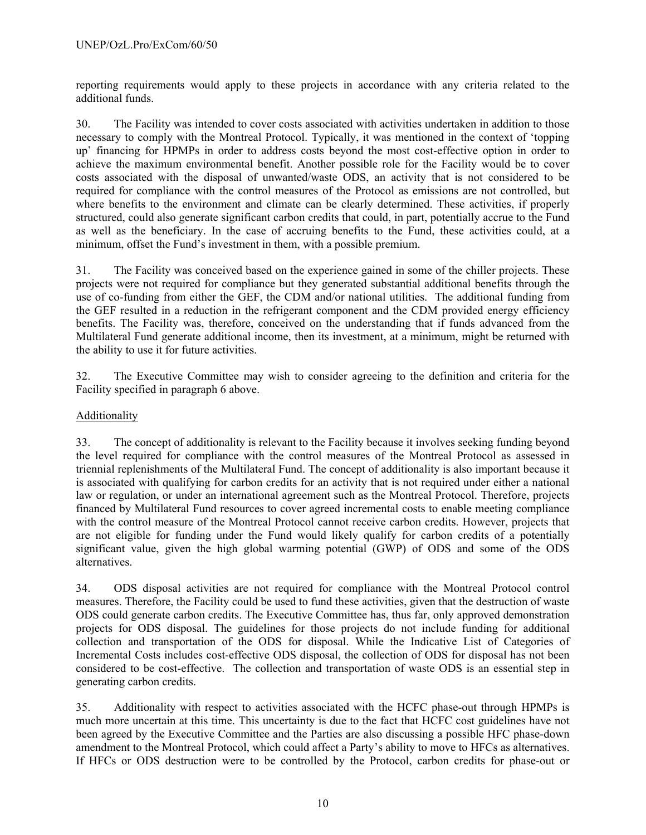reporting requirements would apply to these projects in accordance with any criteria related to the additional funds.

30. The Facility was intended to cover costs associated with activities undertaken in addition to those necessary to comply with the Montreal Protocol. Typically, it was mentioned in the context of 'topping up' financing for HPMPs in order to address costs beyond the most cost-effective option in order to achieve the maximum environmental benefit. Another possible role for the Facility would be to cover costs associated with the disposal of unwanted/waste ODS, an activity that is not considered to be required for compliance with the control measures of the Protocol as emissions are not controlled, but where benefits to the environment and climate can be clearly determined. These activities, if properly structured, could also generate significant carbon credits that could, in part, potentially accrue to the Fund as well as the beneficiary. In the case of accruing benefits to the Fund, these activities could, at a minimum, offset the Fund's investment in them, with a possible premium.

31. The Facility was conceived based on the experience gained in some of the chiller projects. These projects were not required for compliance but they generated substantial additional benefits through the use of co-funding from either the GEF, the CDM and/or national utilities. The additional funding from the GEF resulted in a reduction in the refrigerant component and the CDM provided energy efficiency benefits. The Facility was, therefore, conceived on the understanding that if funds advanced from the Multilateral Fund generate additional income, then its investment, at a minimum, might be returned with the ability to use it for future activities.

32. The Executive Committee may wish to consider agreeing to the definition and criteria for the Facility specified in paragraph 6 above.

# Additionality

33. The concept of additionality is relevant to the Facility because it involves seeking funding beyond the level required for compliance with the control measures of the Montreal Protocol as assessed in triennial replenishments of the Multilateral Fund. The concept of additionality is also important because it is associated with qualifying for carbon credits for an activity that is not required under either a national law or regulation, or under an international agreement such as the Montreal Protocol. Therefore, projects financed by Multilateral Fund resources to cover agreed incremental costs to enable meeting compliance with the control measure of the Montreal Protocol cannot receive carbon credits. However, projects that are not eligible for funding under the Fund would likely qualify for carbon credits of a potentially significant value, given the high global warming potential (GWP) of ODS and some of the ODS alternatives.

34. ODS disposal activities are not required for compliance with the Montreal Protocol control measures. Therefore, the Facility could be used to fund these activities, given that the destruction of waste ODS could generate carbon credits. The Executive Committee has, thus far, only approved demonstration projects for ODS disposal. The guidelines for those projects do not include funding for additional collection and transportation of the ODS for disposal. While the Indicative List of Categories of Incremental Costs includes cost-effective ODS disposal, the collection of ODS for disposal has not been considered to be cost-effective. The collection and transportation of waste ODS is an essential step in generating carbon credits.

35. Additionality with respect to activities associated with the HCFC phase-out through HPMPs is much more uncertain at this time. This uncertainty is due to the fact that HCFC cost guidelines have not been agreed by the Executive Committee and the Parties are also discussing a possible HFC phase-down amendment to the Montreal Protocol, which could affect a Party's ability to move to HFCs as alternatives. If HFCs or ODS destruction were to be controlled by the Protocol, carbon credits for phase-out or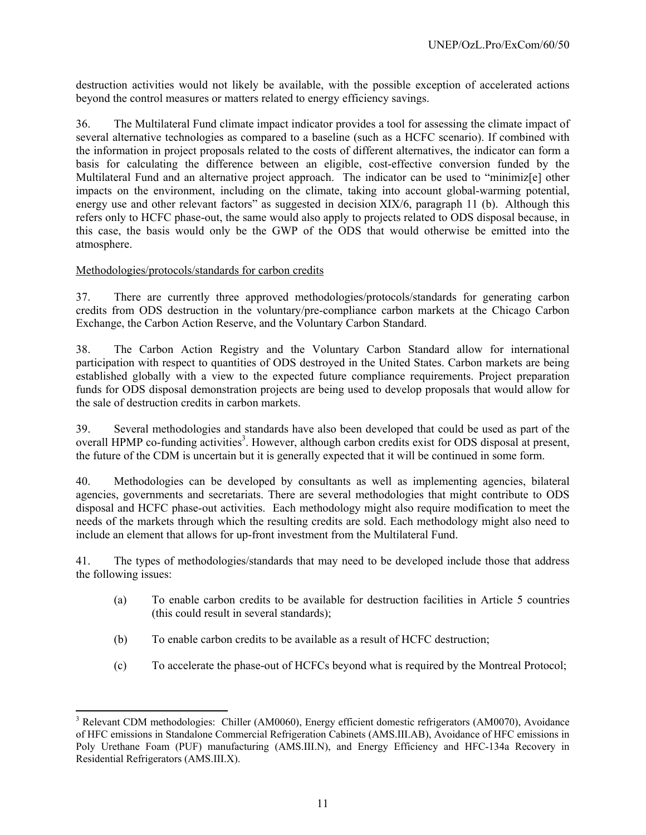destruction activities would not likely be available, with the possible exception of accelerated actions beyond the control measures or matters related to energy efficiency savings.

36. The Multilateral Fund climate impact indicator provides a tool for assessing the climate impact of several alternative technologies as compared to a baseline (such as a HCFC scenario). If combined with the information in project proposals related to the costs of different alternatives, the indicator can form a basis for calculating the difference between an eligible, cost-effective conversion funded by the Multilateral Fund and an alternative project approach. The indicator can be used to "minimiz[e] other impacts on the environment, including on the climate, taking into account global-warming potential, energy use and other relevant factors" as suggested in decision XIX/6, paragraph 11 (b). Although this refers only to HCFC phase-out, the same would also apply to projects related to ODS disposal because, in this case, the basis would only be the GWP of the ODS that would otherwise be emitted into the atmosphere.

# Methodologies/protocols/standards for carbon credits

l

37. There are currently three approved methodologies/protocols/standards for generating carbon credits from ODS destruction in the voluntary/pre-compliance carbon markets at the Chicago Carbon Exchange, the Carbon Action Reserve, and the Voluntary Carbon Standard.

38. The Carbon Action Registry and the Voluntary Carbon Standard allow for international participation with respect to quantities of ODS destroyed in the United States. Carbon markets are being established globally with a view to the expected future compliance requirements. Project preparation funds for ODS disposal demonstration projects are being used to develop proposals that would allow for the sale of destruction credits in carbon markets.

39. Several methodologies and standards have also been developed that could be used as part of the overall HPMP co-funding activities<sup>3</sup>. However, although carbon credits exist for ODS disposal at present, the future of the CDM is uncertain but it is generally expected that it will be continued in some form.

40. Methodologies can be developed by consultants as well as implementing agencies, bilateral agencies, governments and secretariats. There are several methodologies that might contribute to ODS disposal and HCFC phase-out activities. Each methodology might also require modification to meet the needs of the markets through which the resulting credits are sold. Each methodology might also need to include an element that allows for up-front investment from the Multilateral Fund.

41. The types of methodologies/standards that may need to be developed include those that address the following issues:

- (a) To enable carbon credits to be available for destruction facilities in Article 5 countries (this could result in several standards);
- (b) To enable carbon credits to be available as a result of HCFC destruction;
- (c) To accelerate the phase-out of HCFCs beyond what is required by the Montreal Protocol;

<sup>&</sup>lt;sup>3</sup> Relevant CDM methodologies: Chiller (AM0060), Energy efficient domestic refrigerators (AM0070), Avoidance of HFC emissions in Standalone Commercial Refrigeration Cabinets (AMS.III.AB), Avoidance of HFC emissions in Poly Urethane Foam (PUF) manufacturing (AMS.III.N), and Energy Efficiency and HFC-134a Recovery in Residential Refrigerators (AMS.III.X).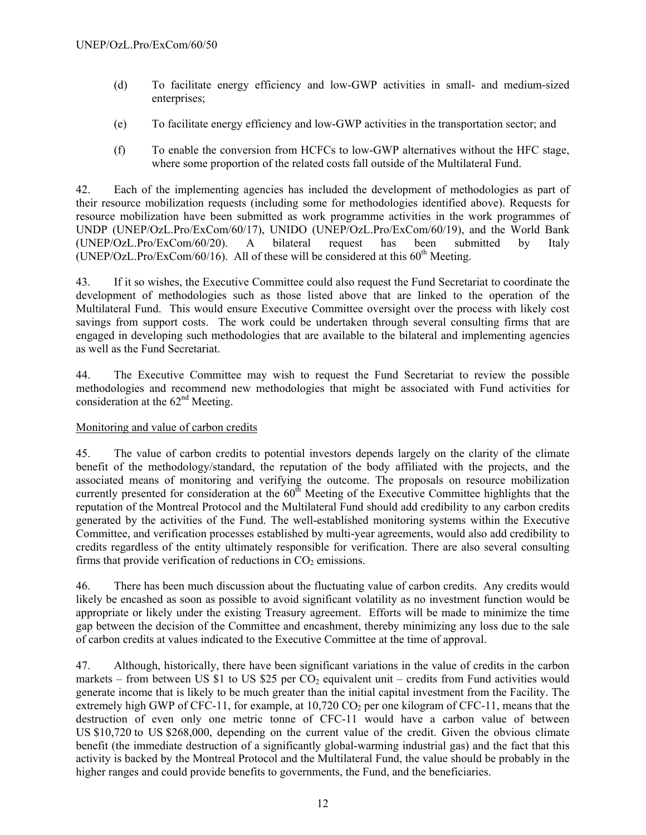- (d) To facilitate energy efficiency and low-GWP activities in small- and medium-sized enterprises;
- (e) To facilitate energy efficiency and low-GWP activities in the transportation sector; and
- (f) To enable the conversion from HCFCs to low-GWP alternatives without the HFC stage, where some proportion of the related costs fall outside of the Multilateral Fund.

42. Each of the implementing agencies has included the development of methodologies as part of their resource mobilization requests (including some for methodologies identified above). Requests for resource mobilization have been submitted as work programme activities in the work programmes of UNDP (UNEP/OzL.Pro/ExCom/60/17), UNIDO (UNEP/OzL.Pro/ExCom/60/19), and the World Bank (UNEP/OzL.Pro/ExCom/60/20). A bilateral request has been submitted by Italy (UNEP/OzL.Pro/ExCom/60/16). All of these will be considered at this  $60<sup>th</sup>$  Meeting.

43. If it so wishes, the Executive Committee could also request the Fund Secretariat to coordinate the development of methodologies such as those listed above that are linked to the operation of the Multilateral Fund. This would ensure Executive Committee oversight over the process with likely cost savings from support costs. The work could be undertaken through several consulting firms that are engaged in developing such methodologies that are available to the bilateral and implementing agencies as well as the Fund Secretariat.

44. The Executive Committee may wish to request the Fund Secretariat to review the possible methodologies and recommend new methodologies that might be associated with Fund activities for consideration at the 62<sup>nd</sup> Meeting.

# Monitoring and value of carbon credits

45. The value of carbon credits to potential investors depends largely on the clarity of the climate benefit of the methodology/standard, the reputation of the body affiliated with the projects, and the associated means of monitoring and verifying the outcome. The proposals on resource mobilization currently presented for consideration at the  $60<sup>th</sup>$  Meeting of the Executive Committee highlights that the reputation of the Montreal Protocol and the Multilateral Fund should add credibility to any carbon credits generated by the activities of the Fund. The well-established monitoring systems within the Executive Committee, and verification processes established by multi-year agreements, would also add credibility to credits regardless of the entity ultimately responsible for verification. There are also several consulting firms that provide verification of reductions in  $CO<sub>2</sub>$  emissions.

46. There has been much discussion about the fluctuating value of carbon credits. Any credits would likely be encashed as soon as possible to avoid significant volatility as no investment function would be appropriate or likely under the existing Treasury agreement. Efforts will be made to minimize the time gap between the decision of the Committee and encashment, thereby minimizing any loss due to the sale of carbon credits at values indicated to the Executive Committee at the time of approval.

47. Although, historically, there have been significant variations in the value of credits in the carbon markets – from between US \$1 to US \$25 per  $CO<sub>2</sub>$  equivalent unit – credits from Fund activities would generate income that is likely to be much greater than the initial capital investment from the Facility. The extremely high GWP of CFC-11, for example, at  $10,720$  CO<sub>2</sub> per one kilogram of CFC-11, means that the destruction of even only one metric tonne of CFC-11 would have a carbon value of between US \$10,720 to US \$268,000, depending on the current value of the credit. Given the obvious climate benefit (the immediate destruction of a significantly global-warming industrial gas) and the fact that this activity is backed by the Montreal Protocol and the Multilateral Fund, the value should be probably in the higher ranges and could provide benefits to governments, the Fund, and the beneficiaries.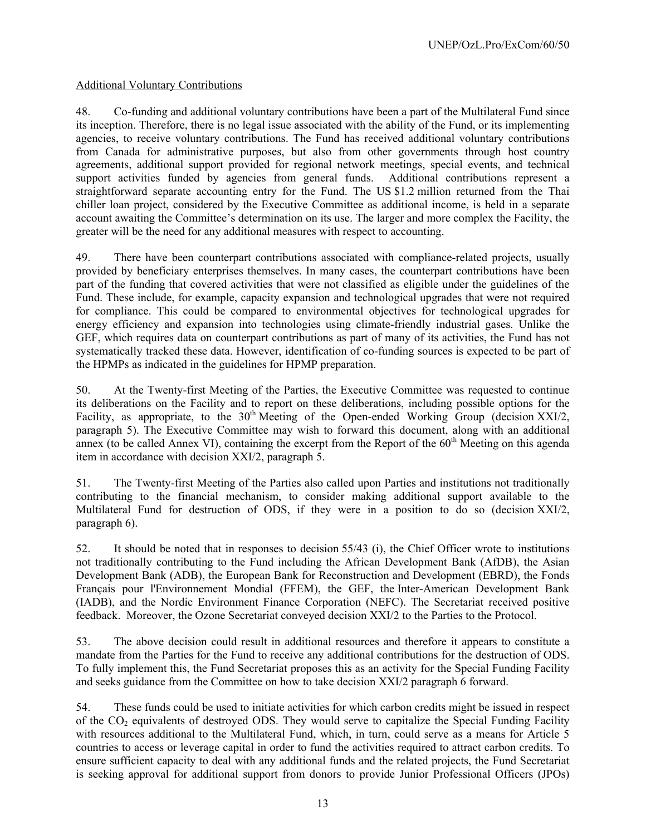# Additional Voluntary Contributions

48. Co-funding and additional voluntary contributions have been a part of the Multilateral Fund since its inception. Therefore, there is no legal issue associated with the ability of the Fund, or its implementing agencies, to receive voluntary contributions. The Fund has received additional voluntary contributions from Canada for administrative purposes, but also from other governments through host country agreements, additional support provided for regional network meetings, special events, and technical support activities funded by agencies from general funds. Additional contributions represent a straightforward separate accounting entry for the Fund. The US \$1.2 million returned from the Thai chiller loan project, considered by the Executive Committee as additional income, is held in a separate account awaiting the Committee's determination on its use. The larger and more complex the Facility, the greater will be the need for any additional measures with respect to accounting.

49. There have been counterpart contributions associated with compliance-related projects, usually provided by beneficiary enterprises themselves. In many cases, the counterpart contributions have been part of the funding that covered activities that were not classified as eligible under the guidelines of the Fund. These include, for example, capacity expansion and technological upgrades that were not required for compliance. This could be compared to environmental objectives for technological upgrades for energy efficiency and expansion into technologies using climate-friendly industrial gases. Unlike the GEF, which requires data on counterpart contributions as part of many of its activities, the Fund has not systematically tracked these data. However, identification of co-funding sources is expected to be part of the HPMPs as indicated in the guidelines for HPMP preparation.

50. At the Twenty-first Meeting of the Parties, the Executive Committee was requested to continue its deliberations on the Facility and to report on these deliberations, including possible options for the Facility, as appropriate, to the  $30<sup>th</sup>$  Meeting of the Open-ended Working Group (decision XXI/2, paragraph 5). The Executive Committee may wish to forward this document, along with an additional annex (to be called Annex VI), containing the excerpt from the Report of the  $60<sup>th</sup>$  Meeting on this agenda item in accordance with decision XXI/2, paragraph 5.

51. The Twenty-first Meeting of the Parties also called upon Parties and institutions not traditionally contributing to the financial mechanism, to consider making additional support available to the Multilateral Fund for destruction of ODS, if they were in a position to do so (decision XXI/2, paragraph 6).

52. It should be noted that in responses to decision 55/43 (i), the Chief Officer wrote to institutions not traditionally contributing to the Fund including the African Development Bank (AfDB), the Asian Development Bank (ADB), the European Bank for Reconstruction and Development (EBRD), the Fonds Français pour l'Environnement Mondial (FFEM), the GEF, the Inter-American Development Bank (IADB), and the Nordic Environment Finance Corporation (NEFC). The Secretariat received positive feedback. Moreover, the Ozone Secretariat conveyed decision XXI/2 to the Parties to the Protocol.

53. The above decision could result in additional resources and therefore it appears to constitute a mandate from the Parties for the Fund to receive any additional contributions for the destruction of ODS. To fully implement this, the Fund Secretariat proposes this as an activity for the Special Funding Facility and seeks guidance from the Committee on how to take decision XXI/2 paragraph 6 forward.

54. These funds could be used to initiate activities for which carbon credits might be issued in respect of the  $CO<sub>2</sub>$  equivalents of destroyed ODS. They would serve to capitalize the Special Funding Facility with resources additional to the Multilateral Fund, which, in turn, could serve as a means for Article 5 countries to access or leverage capital in order to fund the activities required to attract carbon credits. To ensure sufficient capacity to deal with any additional funds and the related projects, the Fund Secretariat is seeking approval for additional support from donors to provide Junior Professional Officers (JPOs)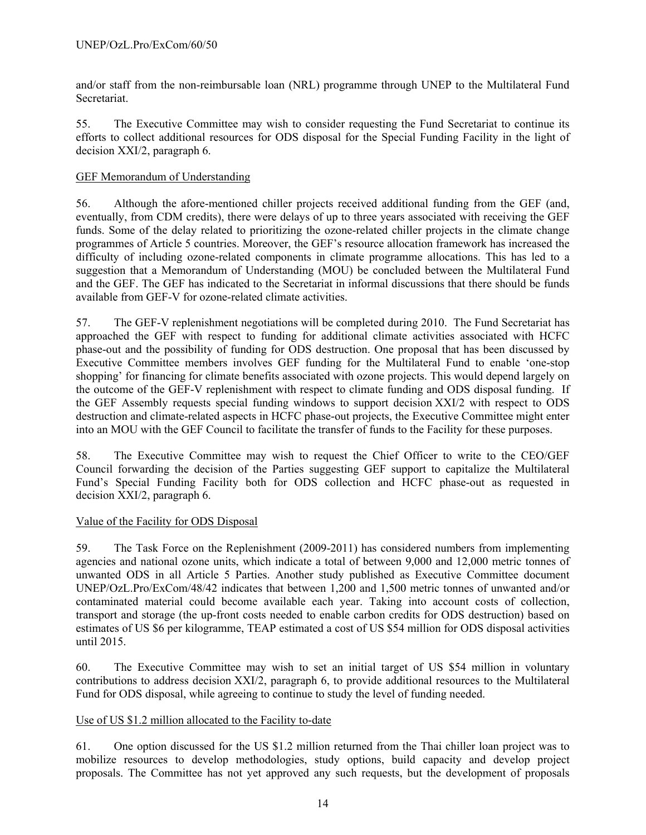and/or staff from the non-reimbursable loan (NRL) programme through UNEP to the Multilateral Fund **Secretariat** 

55. The Executive Committee may wish to consider requesting the Fund Secretariat to continue its efforts to collect additional resources for ODS disposal for the Special Funding Facility in the light of decision XXI/2, paragraph 6.

# GEF Memorandum of Understanding

56. Although the afore-mentioned chiller projects received additional funding from the GEF (and, eventually, from CDM credits), there were delays of up to three years associated with receiving the GEF funds. Some of the delay related to prioritizing the ozone-related chiller projects in the climate change programmes of Article 5 countries. Moreover, the GEF's resource allocation framework has increased the difficulty of including ozone-related components in climate programme allocations. This has led to a suggestion that a Memorandum of Understanding (MOU) be concluded between the Multilateral Fund and the GEF. The GEF has indicated to the Secretariat in informal discussions that there should be funds available from GEF-V for ozone-related climate activities.

57. The GEF-V replenishment negotiations will be completed during 2010. The Fund Secretariat has approached the GEF with respect to funding for additional climate activities associated with HCFC phase-out and the possibility of funding for ODS destruction. One proposal that has been discussed by Executive Committee members involves GEF funding for the Multilateral Fund to enable 'one-stop shopping' for financing for climate benefits associated with ozone projects. This would depend largely on the outcome of the GEF-V replenishment with respect to climate funding and ODS disposal funding. If the GEF Assembly requests special funding windows to support decision XXI/2 with respect to ODS destruction and climate-related aspects in HCFC phase-out projects, the Executive Committee might enter into an MOU with the GEF Council to facilitate the transfer of funds to the Facility for these purposes.

58. The Executive Committee may wish to request the Chief Officer to write to the CEO/GEF Council forwarding the decision of the Parties suggesting GEF support to capitalize the Multilateral Fund's Special Funding Facility both for ODS collection and HCFC phase-out as requested in decision XXI/2, paragraph 6.

# Value of the Facility for ODS Disposal

59. The Task Force on the Replenishment (2009-2011) has considered numbers from implementing agencies and national ozone units, which indicate a total of between 9,000 and 12,000 metric tonnes of unwanted ODS in all Article 5 Parties. Another study published as Executive Committee document UNEP/OzL.Pro/ExCom/48/42 indicates that between 1,200 and 1,500 metric tonnes of unwanted and/or contaminated material could become available each year. Taking into account costs of collection, transport and storage (the up-front costs needed to enable carbon credits for ODS destruction) based on estimates of US \$6 per kilogramme, TEAP estimated a cost of US \$54 million for ODS disposal activities until 2015.

60. The Executive Committee may wish to set an initial target of US \$54 million in voluntary contributions to address decision XXI/2, paragraph 6, to provide additional resources to the Multilateral Fund for ODS disposal, while agreeing to continue to study the level of funding needed.

#### Use of US \$1.2 million allocated to the Facility to-date

61. One option discussed for the US \$1.2 million returned from the Thai chiller loan project was to mobilize resources to develop methodologies, study options, build capacity and develop project proposals. The Committee has not yet approved any such requests, but the development of proposals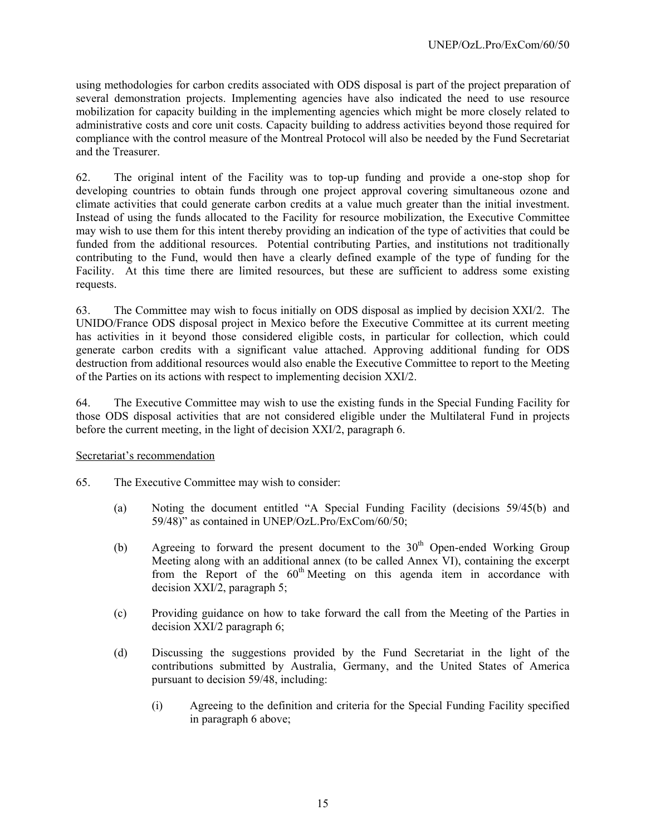using methodologies for carbon credits associated with ODS disposal is part of the project preparation of several demonstration projects. Implementing agencies have also indicated the need to use resource mobilization for capacity building in the implementing agencies which might be more closely related to administrative costs and core unit costs. Capacity building to address activities beyond those required for compliance with the control measure of the Montreal Protocol will also be needed by the Fund Secretariat and the Treasurer.

62. The original intent of the Facility was to top-up funding and provide a one-stop shop for developing countries to obtain funds through one project approval covering simultaneous ozone and climate activities that could generate carbon credits at a value much greater than the initial investment. Instead of using the funds allocated to the Facility for resource mobilization, the Executive Committee may wish to use them for this intent thereby providing an indication of the type of activities that could be funded from the additional resources. Potential contributing Parties, and institutions not traditionally contributing to the Fund, would then have a clearly defined example of the type of funding for the Facility. At this time there are limited resources, but these are sufficient to address some existing requests.

63. The Committee may wish to focus initially on ODS disposal as implied by decision XXI/2. The UNIDO/France ODS disposal project in Mexico before the Executive Committee at its current meeting has activities in it beyond those considered eligible costs, in particular for collection, which could generate carbon credits with a significant value attached. Approving additional funding for ODS destruction from additional resources would also enable the Executive Committee to report to the Meeting of the Parties on its actions with respect to implementing decision XXI/2.

64. The Executive Committee may wish to use the existing funds in the Special Funding Facility for those ODS disposal activities that are not considered eligible under the Multilateral Fund in projects before the current meeting, in the light of decision XXI/2, paragraph 6.

#### Secretariat's recommendation

- 65. The Executive Committee may wish to consider:
	- (a) Noting the document entitled "A Special Funding Facility (decisions 59/45(b) and 59/48)" as contained in UNEP/OzL.Pro/ExCom/60/50;
	- (b) Agreeing to forward the present document to the  $30<sup>th</sup>$  Open-ended Working Group Meeting along with an additional annex (to be called Annex VI), containing the excerpt from the Report of the  $60<sup>th</sup>$  Meeting on this agenda item in accordance with decision XXI/2, paragraph 5;
	- (c) Providing guidance on how to take forward the call from the Meeting of the Parties in decision XXI/2 paragraph 6;
	- (d) Discussing the suggestions provided by the Fund Secretariat in the light of the contributions submitted by Australia, Germany, and the United States of America pursuant to decision 59/48, including:
		- (i) Agreeing to the definition and criteria for the Special Funding Facility specified in paragraph 6 above;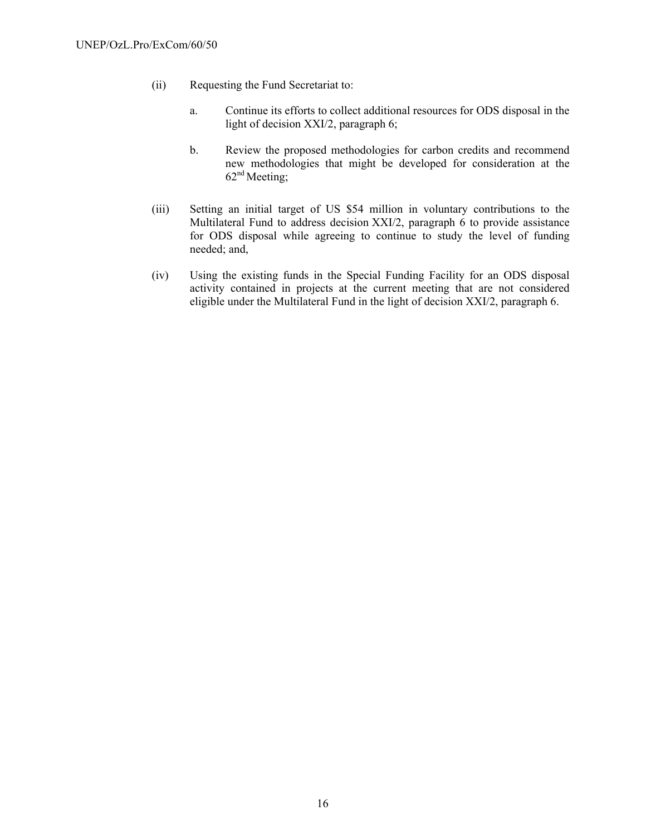- (ii) Requesting the Fund Secretariat to:
	- a. Continue its efforts to collect additional resources for ODS disposal in the light of decision XXI/2, paragraph 6;
	- b. Review the proposed methodologies for carbon credits and recommend new methodologies that might be developed for consideration at the  $62<sup>nd</sup> Meeting$ ;
- (iii) Setting an initial target of US \$54 million in voluntary contributions to the Multilateral Fund to address decision XXI/2, paragraph 6 to provide assistance for ODS disposal while agreeing to continue to study the level of funding needed; and,
- (iv) Using the existing funds in the Special Funding Facility for an ODS disposal activity contained in projects at the current meeting that are not considered eligible under the Multilateral Fund in the light of decision XXI/2, paragraph 6.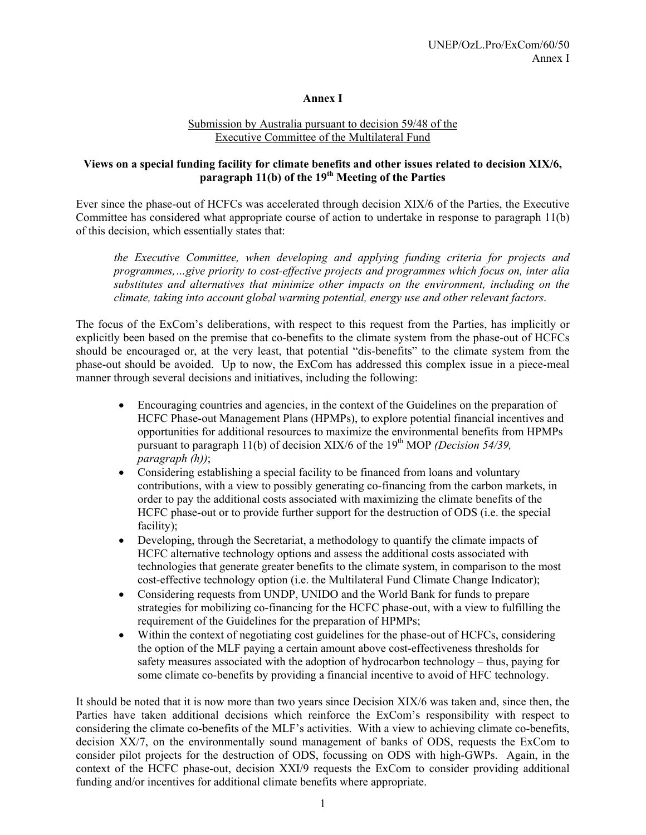# **Annex I**

#### Submission by Australia pursuant to decision 59/48 of the Executive Committee of the Multilateral Fund

# **Views on a special funding facility for climate benefits and other issues related to decision XIX/6, paragraph 11(b) of the 19th Meeting of the Parties**

Ever since the phase-out of HCFCs was accelerated through decision XIX/6 of the Parties, the Executive Committee has considered what appropriate course of action to undertake in response to paragraph 11(b) of this decision, which essentially states that:

*the Executive Committee, when developing and applying funding criteria for projects and programmes,…give priority to cost-effective projects and programmes which focus on, inter alia substitutes and alternatives that minimize other impacts on the environment, including on the climate, taking into account global warming potential, energy use and other relevant factors*.

The focus of the ExCom's deliberations, with respect to this request from the Parties, has implicitly or explicitly been based on the premise that co-benefits to the climate system from the phase-out of HCFCs should be encouraged or, at the very least, that potential "dis-benefits" to the climate system from the phase-out should be avoided. Up to now, the ExCom has addressed this complex issue in a piece-meal manner through several decisions and initiatives, including the following:

- Encouraging countries and agencies, in the context of the Guidelines on the preparation of HCFC Phase-out Management Plans (HPMPs), to explore potential financial incentives and opportunities for additional resources to maximize the environmental benefits from HPMPs pursuant to paragraph 11(b) of decision XIX/6 of the 19<sup>th</sup> MOP *(Decision 54/39, paragraph (h))*;
- Considering establishing a special facility to be financed from loans and voluntary contributions, with a view to possibly generating co-financing from the carbon markets, in order to pay the additional costs associated with maximizing the climate benefits of the HCFC phase-out or to provide further support for the destruction of ODS (i.e. the special facility);
- Developing, through the Secretariat, a methodology to quantify the climate impacts of HCFC alternative technology options and assess the additional costs associated with technologies that generate greater benefits to the climate system, in comparison to the most cost-effective technology option (i.e. the Multilateral Fund Climate Change Indicator);
- Considering requests from UNDP, UNIDO and the World Bank for funds to prepare strategies for mobilizing co-financing for the HCFC phase-out, with a view to fulfilling the requirement of the Guidelines for the preparation of HPMPs;
- Within the context of negotiating cost guidelines for the phase-out of HCFCs, considering the option of the MLF paying a certain amount above cost-effectiveness thresholds for safety measures associated with the adoption of hydrocarbon technology – thus, paying for some climate co-benefits by providing a financial incentive to avoid of HFC technology.

It should be noted that it is now more than two years since Decision XIX/6 was taken and, since then, the Parties have taken additional decisions which reinforce the ExCom's responsibility with respect to considering the climate co-benefits of the MLF's activities. With a view to achieving climate co-benefits, decision XX/7, on the environmentally sound management of banks of ODS, requests the ExCom to consider pilot projects for the destruction of ODS, focussing on ODS with high-GWPs. Again, in the context of the HCFC phase-out, decision XXI/9 requests the ExCom to consider providing additional funding and/or incentives for additional climate benefits where appropriate.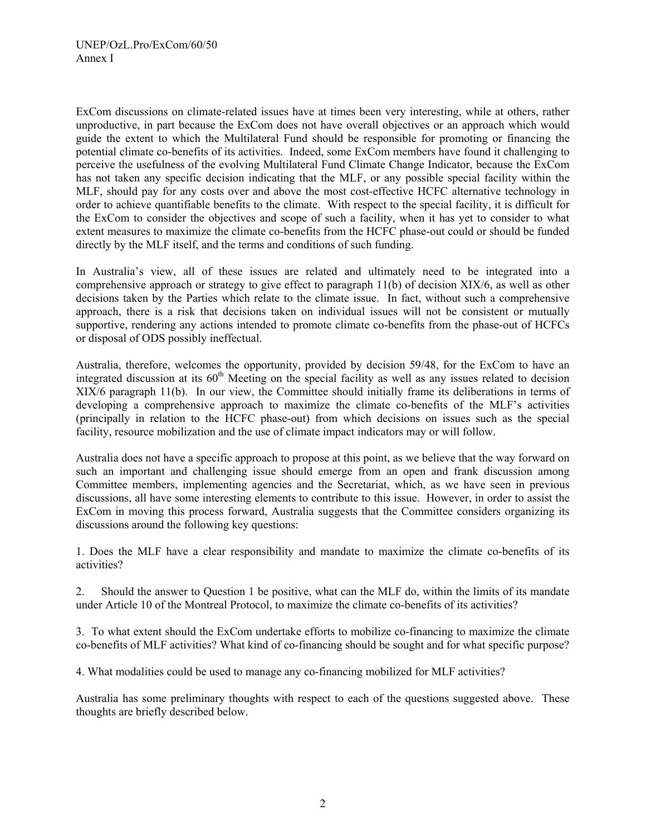ExCom discussions on climate-related issues have at times been very interesting, while at others, rather unproductive, in part because the ExCom does not have overall objectives or an approach which would guide the extent to which the Multilateral Fund should be responsible for promoting or financing the potential climate co-benefits of its activities. Indeed, some ExCom members have found it challenging to perceive the usefulness of the evolving Multilateral Fund Climate Change Indicator, because the ExCom has not taken any specific decision indicating that the MLF, or any possible special facility within the MLF, should pay for any costs over and above the most cost-effective HCFC alternative technology in order to achieve quantifiable benefits to the climate. With respect to the special facility, it is difficult for the ExCom to consider the objectives and scope of such a facility, when it has yet to consider to what extent measures to maximize the climate co-benefits from the HCFC phase-out could or should be funded directly by the MLF itself, and the terms and conditions of such funding.

In Australia's view, all of these issues are related and ultimately need to be integrated into a comprehensive approach or strategy to give effect to paragraph 11(b) of decision XIX/6, as well as other decisions taken by the Parties which relate to the climate issue. In fact, without such a comprehensive approach, there is a risk that decisions taken on individual issues will not be consistent or mutually supportive, rendering any actions intended to promote climate co-benefits from the phase-out of HCFCs or disposal of ODS possibly ineffectual.

Australia, therefore, welcomes the opportunity, provided by decision 59/48, for the ExCom to have an integrated discussion at its 60<sup>th</sup> Meeting on the special facility as well as any issues related to decision XIX/6 paragraph 11(b). In our view, the Committee should initially frame its deliberations in terms of developing a comprehensive approach to maximize the climate co-benefits of the MLF's activities (principally in relation to the HCFC phase-out) from which decisions on issues such as the special facility, resource mobilization and the use of climate impact indicators may or will follow.

Australia does not have a specific approach to propose at this point, as we believe that the way forward on such an important and challenging issue should emerge from an open and frank discussion among Committee members, implementing agencies and the Secretariat, which, as we have seen in previous discussions, all have some interesting elements to contribute to this issue. However, in order to assist the ExCom in moving this process forward, Australia suggests that the Committee considers organizing its discussions around the following key questions:

1. Does the MLF have a clear responsibility and mandate to maximize the climate co-benefits of its activities?

2. Should the answer to Question 1 be positive, what can the MLF do, within the limits of its mandate under Article 10 of the Montreal Protocol, to maximize the climate co-benefits of its activities?

3. To what extent should the ExCom undertake efforts to mobilize co-financing to maximize the climate co-benefits of MLF activities? What kind of co-financing should be sought and for what specific purpose?

4. What modalities could be used to manage any co-financing mobilized for MLF activities?

Australia has some preliminary thoughts with respect to each of the questions suggested above. These thoughts are briefly described below.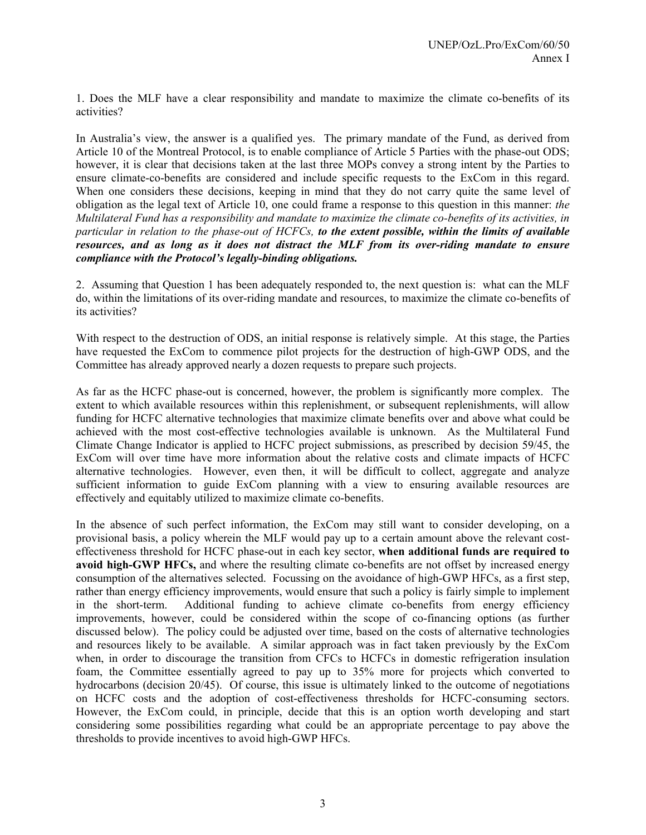1. Does the MLF have a clear responsibility and mandate to maximize the climate co-benefits of its activities?

In Australia's view, the answer is a qualified yes. The primary mandate of the Fund, as derived from Article 10 of the Montreal Protocol, is to enable compliance of Article 5 Parties with the phase-out ODS; however, it is clear that decisions taken at the last three MOPs convey a strong intent by the Parties to ensure climate-co-benefits are considered and include specific requests to the ExCom in this regard. When one considers these decisions, keeping in mind that they do not carry quite the same level of obligation as the legal text of Article 10, one could frame a response to this question in this manner: *the Multilateral Fund has a responsibility and mandate to maximize the climate co-benefits of its activities, in particular in relation to the phase-out of HCFCs, to the extent possible, within the limits of available resources, and as long as it does not distract the MLF from its over-riding mandate to ensure compliance with the Protocol's legally-binding obligations.* 

2. Assuming that Question 1 has been adequately responded to, the next question is: what can the MLF do, within the limitations of its over-riding mandate and resources, to maximize the climate co-benefits of its activities?

With respect to the destruction of ODS, an initial response is relatively simple. At this stage, the Parties have requested the ExCom to commence pilot projects for the destruction of high-GWP ODS, and the Committee has already approved nearly a dozen requests to prepare such projects.

As far as the HCFC phase-out is concerned, however, the problem is significantly more complex. The extent to which available resources within this replenishment, or subsequent replenishments, will allow funding for HCFC alternative technologies that maximize climate benefits over and above what could be achieved with the most cost-effective technologies available is unknown. As the Multilateral Fund Climate Change Indicator is applied to HCFC project submissions, as prescribed by decision 59/45, the ExCom will over time have more information about the relative costs and climate impacts of HCFC alternative technologies. However, even then, it will be difficult to collect, aggregate and analyze sufficient information to guide ExCom planning with a view to ensuring available resources are effectively and equitably utilized to maximize climate co-benefits.

In the absence of such perfect information, the ExCom may still want to consider developing, on a provisional basis, a policy wherein the MLF would pay up to a certain amount above the relevant costeffectiveness threshold for HCFC phase-out in each key sector, **when additional funds are required to avoid high-GWP HFCs,** and where the resulting climate co-benefits are not offset by increased energy consumption of the alternatives selected. Focussing on the avoidance of high-GWP HFCs, as a first step, rather than energy efficiency improvements, would ensure that such a policy is fairly simple to implement in the short-term. Additional funding to achieve climate co-benefits from energy efficiency improvements, however, could be considered within the scope of co-financing options (as further discussed below). The policy could be adjusted over time, based on the costs of alternative technologies and resources likely to be available. A similar approach was in fact taken previously by the ExCom when, in order to discourage the transition from CFCs to HCFCs in domestic refrigeration insulation foam, the Committee essentially agreed to pay up to 35% more for projects which converted to hydrocarbons (decision 20/45). Of course, this issue is ultimately linked to the outcome of negotiations on HCFC costs and the adoption of cost-effectiveness thresholds for HCFC-consuming sectors. However, the ExCom could, in principle, decide that this is an option worth developing and start considering some possibilities regarding what could be an appropriate percentage to pay above the thresholds to provide incentives to avoid high-GWP HFCs.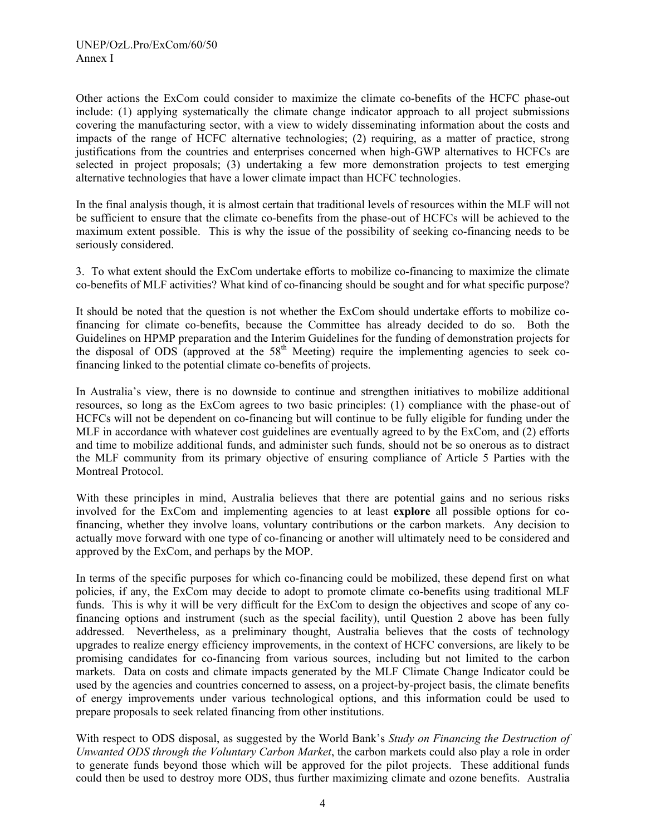Other actions the ExCom could consider to maximize the climate co-benefits of the HCFC phase-out include: (1) applying systematically the climate change indicator approach to all project submissions covering the manufacturing sector, with a view to widely disseminating information about the costs and impacts of the range of HCFC alternative technologies; (2) requiring, as a matter of practice, strong justifications from the countries and enterprises concerned when high-GWP alternatives to HCFCs are selected in project proposals; (3) undertaking a few more demonstration projects to test emerging alternative technologies that have a lower climate impact than HCFC technologies.

In the final analysis though, it is almost certain that traditional levels of resources within the MLF will not be sufficient to ensure that the climate co-benefits from the phase-out of HCFCs will be achieved to the maximum extent possible. This is why the issue of the possibility of seeking co-financing needs to be seriously considered.

3. To what extent should the ExCom undertake efforts to mobilize co-financing to maximize the climate co-benefits of MLF activities? What kind of co-financing should be sought and for what specific purpose?

It should be noted that the question is not whether the ExCom should undertake efforts to mobilize cofinancing for climate co-benefits, because the Committee has already decided to do so. Both the Guidelines on HPMP preparation and the Interim Guidelines for the funding of demonstration projects for the disposal of ODS (approved at the  $58<sup>th</sup>$  Meeting) require the implementing agencies to seek cofinancing linked to the potential climate co-benefits of projects.

In Australia's view, there is no downside to continue and strengthen initiatives to mobilize additional resources, so long as the ExCom agrees to two basic principles: (1) compliance with the phase-out of HCFCs will not be dependent on co-financing but will continue to be fully eligible for funding under the MLF in accordance with whatever cost guidelines are eventually agreed to by the ExCom, and (2) efforts and time to mobilize additional funds, and administer such funds, should not be so onerous as to distract the MLF community from its primary objective of ensuring compliance of Article 5 Parties with the Montreal Protocol.

With these principles in mind, Australia believes that there are potential gains and no serious risks involved for the ExCom and implementing agencies to at least **explore** all possible options for cofinancing, whether they involve loans, voluntary contributions or the carbon markets. Any decision to actually move forward with one type of co-financing or another will ultimately need to be considered and approved by the ExCom, and perhaps by the MOP.

In terms of the specific purposes for which co-financing could be mobilized, these depend first on what policies, if any, the ExCom may decide to adopt to promote climate co-benefits using traditional MLF funds. This is why it will be very difficult for the ExCom to design the objectives and scope of any cofinancing options and instrument (such as the special facility), until Question 2 above has been fully addressed. Nevertheless, as a preliminary thought, Australia believes that the costs of technology upgrades to realize energy efficiency improvements, in the context of HCFC conversions, are likely to be promising candidates for co-financing from various sources, including but not limited to the carbon markets. Data on costs and climate impacts generated by the MLF Climate Change Indicator could be used by the agencies and countries concerned to assess, on a project-by-project basis, the climate benefits of energy improvements under various technological options, and this information could be used to prepare proposals to seek related financing from other institutions.

With respect to ODS disposal, as suggested by the World Bank's *Study on Financing the Destruction of Unwanted ODS through the Voluntary Carbon Market*, the carbon markets could also play a role in order to generate funds beyond those which will be approved for the pilot projects. These additional funds could then be used to destroy more ODS, thus further maximizing climate and ozone benefits. Australia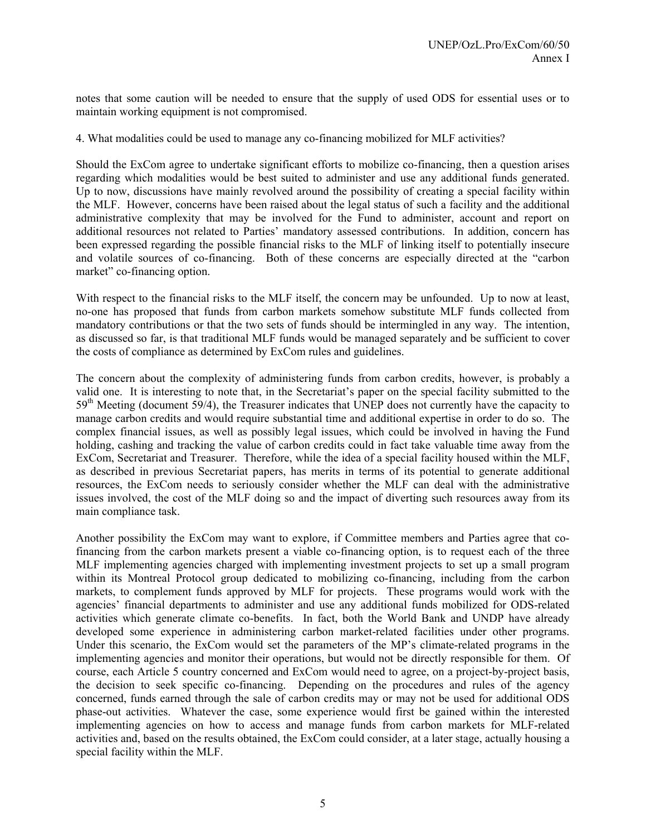notes that some caution will be needed to ensure that the supply of used ODS for essential uses or to maintain working equipment is not compromised.

4. What modalities could be used to manage any co-financing mobilized for MLF activities?

Should the ExCom agree to undertake significant efforts to mobilize co-financing, then a question arises regarding which modalities would be best suited to administer and use any additional funds generated. Up to now, discussions have mainly revolved around the possibility of creating a special facility within the MLF. However, concerns have been raised about the legal status of such a facility and the additional administrative complexity that may be involved for the Fund to administer, account and report on additional resources not related to Parties' mandatory assessed contributions. In addition, concern has been expressed regarding the possible financial risks to the MLF of linking itself to potentially insecure and volatile sources of co-financing. Both of these concerns are especially directed at the "carbon market" co-financing option.

With respect to the financial risks to the MLF itself, the concern may be unfounded. Up to now at least, no-one has proposed that funds from carbon markets somehow substitute MLF funds collected from mandatory contributions or that the two sets of funds should be intermingled in any way. The intention, as discussed so far, is that traditional MLF funds would be managed separately and be sufficient to cover the costs of compliance as determined by ExCom rules and guidelines.

The concern about the complexity of administering funds from carbon credits, however, is probably a valid one. It is interesting to note that, in the Secretariat's paper on the special facility submitted to the  $59<sup>th</sup>$  Meeting (document 59/4), the Treasurer indicates that UNEP does not currently have the capacity to manage carbon credits and would require substantial time and additional expertise in order to do so. The complex financial issues, as well as possibly legal issues, which could be involved in having the Fund holding, cashing and tracking the value of carbon credits could in fact take valuable time away from the ExCom, Secretariat and Treasurer. Therefore, while the idea of a special facility housed within the MLF, as described in previous Secretariat papers, has merits in terms of its potential to generate additional resources, the ExCom needs to seriously consider whether the MLF can deal with the administrative issues involved, the cost of the MLF doing so and the impact of diverting such resources away from its main compliance task.

Another possibility the ExCom may want to explore, if Committee members and Parties agree that cofinancing from the carbon markets present a viable co-financing option, is to request each of the three MLF implementing agencies charged with implementing investment projects to set up a small program within its Montreal Protocol group dedicated to mobilizing co-financing, including from the carbon markets, to complement funds approved by MLF for projects. These programs would work with the agencies' financial departments to administer and use any additional funds mobilized for ODS-related activities which generate climate co-benefits. In fact, both the World Bank and UNDP have already developed some experience in administering carbon market-related facilities under other programs. Under this scenario, the ExCom would set the parameters of the MP's climate-related programs in the implementing agencies and monitor their operations, but would not be directly responsible for them. Of course, each Article 5 country concerned and ExCom would need to agree, on a project-by-project basis, the decision to seek specific co-financing. Depending on the procedures and rules of the agency concerned, funds earned through the sale of carbon credits may or may not be used for additional ODS phase-out activities. Whatever the case, some experience would first be gained within the interested implementing agencies on how to access and manage funds from carbon markets for MLF-related activities and, based on the results obtained, the ExCom could consider, at a later stage, actually housing a special facility within the MLF.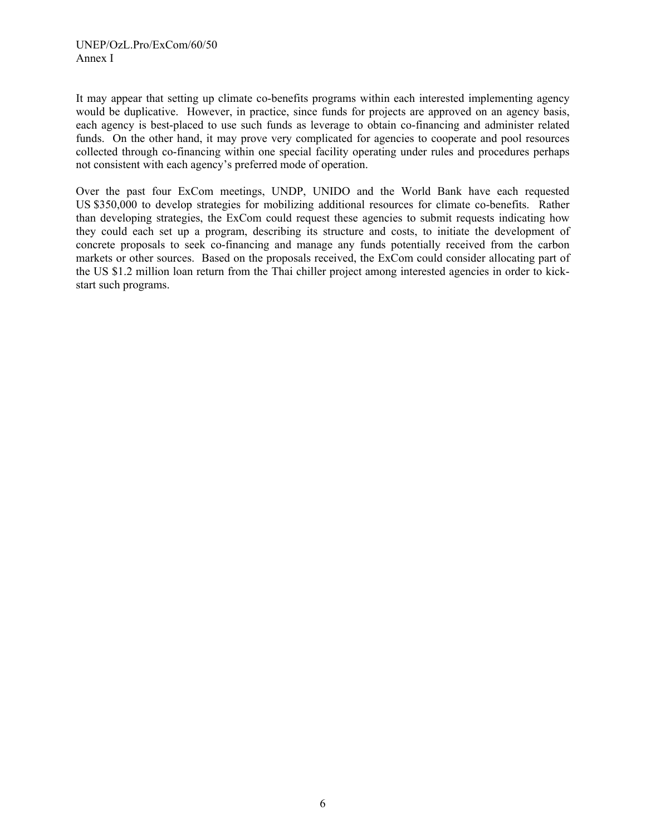It may appear that setting up climate co-benefits programs within each interested implementing agency would be duplicative. However, in practice, since funds for projects are approved on an agency basis, each agency is best-placed to use such funds as leverage to obtain co-financing and administer related funds. On the other hand, it may prove very complicated for agencies to cooperate and pool resources collected through co-financing within one special facility operating under rules and procedures perhaps not consistent with each agency's preferred mode of operation.

Over the past four ExCom meetings, UNDP, UNIDO and the World Bank have each requested US \$350,000 to develop strategies for mobilizing additional resources for climate co-benefits. Rather than developing strategies, the ExCom could request these agencies to submit requests indicating how they could each set up a program, describing its structure and costs, to initiate the development of concrete proposals to seek co-financing and manage any funds potentially received from the carbon markets or other sources. Based on the proposals received, the ExCom could consider allocating part of the US \$1.2 million loan return from the Thai chiller project among interested agencies in order to kickstart such programs.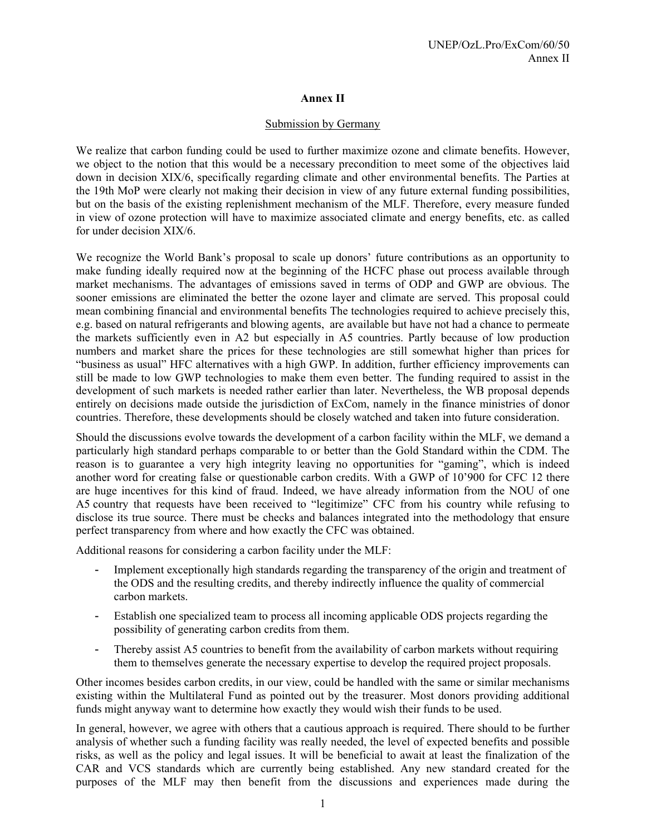# **Annex II**

#### Submission by Germany

We realize that carbon funding could be used to further maximize ozone and climate benefits. However, we object to the notion that this would be a necessary precondition to meet some of the objectives laid down in decision XIX/6, specifically regarding climate and other environmental benefits. The Parties at the 19th MoP were clearly not making their decision in view of any future external funding possibilities, but on the basis of the existing replenishment mechanism of the MLF. Therefore, every measure funded in view of ozone protection will have to maximize associated climate and energy benefits, etc. as called for under decision XIX/6.

We recognize the World Bank's proposal to scale up donors' future contributions as an opportunity to make funding ideally required now at the beginning of the HCFC phase out process available through market mechanisms. The advantages of emissions saved in terms of ODP and GWP are obvious. The sooner emissions are eliminated the better the ozone layer and climate are served. This proposal could mean combining financial and environmental benefits The technologies required to achieve precisely this, e.g. based on natural refrigerants and blowing agents, are available but have not had a chance to permeate the markets sufficiently even in A2 but especially in A5 countries. Partly because of low production numbers and market share the prices for these technologies are still somewhat higher than prices for "business as usual" HFC alternatives with a high GWP. In addition, further efficiency improvements can still be made to low GWP technologies to make them even better. The funding required to assist in the development of such markets is needed rather earlier than later. Nevertheless, the WB proposal depends entirely on decisions made outside the jurisdiction of ExCom, namely in the finance ministries of donor countries. Therefore, these developments should be closely watched and taken into future consideration.

Should the discussions evolve towards the development of a carbon facility within the MLF, we demand a particularly high standard perhaps comparable to or better than the Gold Standard within the CDM. The reason is to guarantee a very high integrity leaving no opportunities for "gaming", which is indeed another word for creating false or questionable carbon credits. With a GWP of 10'900 for CFC 12 there are huge incentives for this kind of fraud. Indeed, we have already information from the NOU of one A5 country that requests have been received to "legitimize" CFC from his country while refusing to disclose its true source. There must be checks and balances integrated into the methodology that ensure perfect transparency from where and how exactly the CFC was obtained.

Additional reasons for considering a carbon facility under the MLF:

- Implement exceptionally high standards regarding the transparency of the origin and treatment of the ODS and the resulting credits, and thereby indirectly influence the quality of commercial carbon markets.
- Establish one specialized team to process all incoming applicable ODS projects regarding the possibility of generating carbon credits from them.
- Thereby assist A5 countries to benefit from the availability of carbon markets without requiring them to themselves generate the necessary expertise to develop the required project proposals.

Other incomes besides carbon credits, in our view, could be handled with the same or similar mechanisms existing within the Multilateral Fund as pointed out by the treasurer. Most donors providing additional funds might anyway want to determine how exactly they would wish their funds to be used.

In general, however, we agree with others that a cautious approach is required. There should to be further analysis of whether such a funding facility was really needed, the level of expected benefits and possible risks, as well as the policy and legal issues. It will be beneficial to await at least the finalization of the CAR and VCS standards which are currently being established. Any new standard created for the purposes of the MLF may then benefit from the discussions and experiences made during the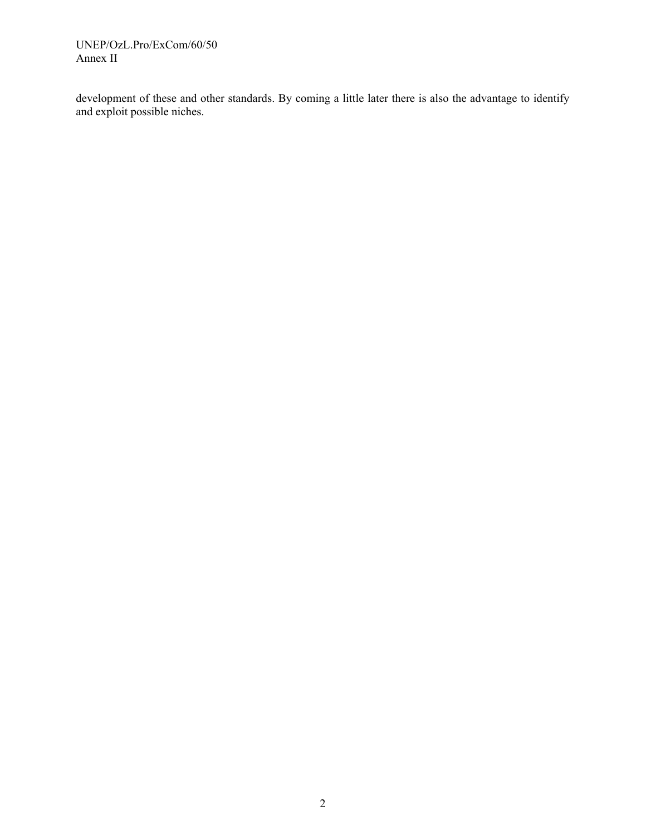UNEP/OzL.Pro/ExCom/60/50 Annex II

development of these and other standards. By coming a little later there is also the advantage to identify and exploit possible niches.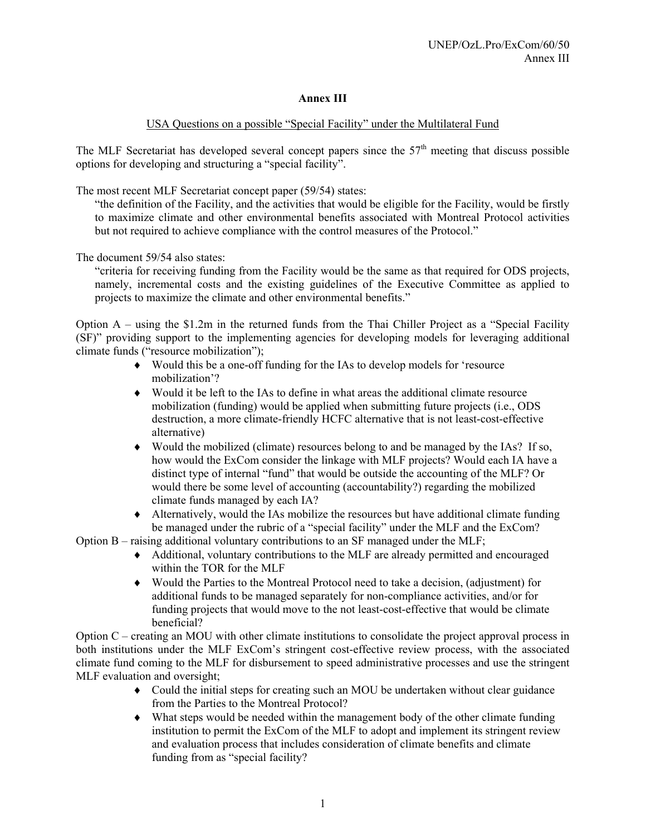# **Annex III**

# USA Questions on a possible "Special Facility" under the Multilateral Fund

The MLF Secretariat has developed several concept papers since the  $57<sup>th</sup>$  meeting that discuss possible options for developing and structuring a "special facility".

The most recent MLF Secretariat concept paper (59/54) states:

"the definition of the Facility, and the activities that would be eligible for the Facility, would be firstly to maximize climate and other environmental benefits associated with Montreal Protocol activities but not required to achieve compliance with the control measures of the Protocol."

The document 59/54 also states:

"criteria for receiving funding from the Facility would be the same as that required for ODS projects, namely, incremental costs and the existing guidelines of the Executive Committee as applied to projects to maximize the climate and other environmental benefits."

Option A – using the \$1.2m in the returned funds from the Thai Chiller Project as a "Special Facility (SF)" providing support to the implementing agencies for developing models for leveraging additional climate funds ("resource mobilization");

- ♦ Would this be a one-off funding for the IAs to develop models for 'resource mobilization'?
- $\bullet$  Would it be left to the IAs to define in what areas the additional climate resource mobilization (funding) would be applied when submitting future projects (i.e., ODS destruction, a more climate-friendly HCFC alternative that is not least-cost-effective alternative)
- ♦ Would the mobilized (climate) resources belong to and be managed by the IAs? If so, how would the ExCom consider the linkage with MLF projects? Would each IA have a distinct type of internal "fund" that would be outside the accounting of the MLF? Or would there be some level of accounting (accountability?) regarding the mobilized climate funds managed by each IA?
- ♦ Alternatively, would the IAs mobilize the resources but have additional climate funding be managed under the rubric of a "special facility" under the MLF and the ExCom?

Option B – raising additional voluntary contributions to an SF managed under the MLF;

- ♦ Additional, voluntary contributions to the MLF are already permitted and encouraged within the TOR for the MLF
- ♦ Would the Parties to the Montreal Protocol need to take a decision, (adjustment) for additional funds to be managed separately for non-compliance activities, and/or for funding projects that would move to the not least-cost-effective that would be climate beneficial?

Option C – creating an MOU with other climate institutions to consolidate the project approval process in both institutions under the MLF ExCom's stringent cost-effective review process, with the associated climate fund coming to the MLF for disbursement to speed administrative processes and use the stringent MLF evaluation and oversight;

- ♦ Could the initial steps for creating such an MOU be undertaken without clear guidance from the Parties to the Montreal Protocol?
- ♦ What steps would be needed within the management body of the other climate funding institution to permit the ExCom of the MLF to adopt and implement its stringent review and evaluation process that includes consideration of climate benefits and climate funding from as "special facility?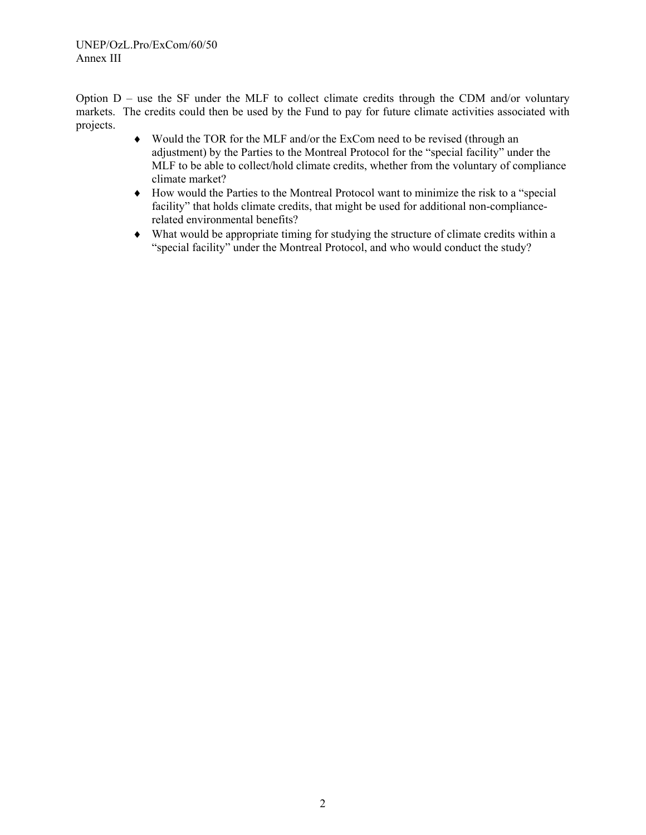Option D – use the SF under the MLF to collect climate credits through the CDM and/or voluntary markets. The credits could then be used by the Fund to pay for future climate activities associated with projects.

- ♦ Would the TOR for the MLF and/or the ExCom need to be revised (through an adjustment) by the Parties to the Montreal Protocol for the "special facility" under the MLF to be able to collect/hold climate credits, whether from the voluntary of compliance climate market?
- ♦ How would the Parties to the Montreal Protocol want to minimize the risk to a "special facility" that holds climate credits, that might be used for additional non-compliancerelated environmental benefits?
- ♦ What would be appropriate timing for studying the structure of climate credits within a "special facility" under the Montreal Protocol, and who would conduct the study?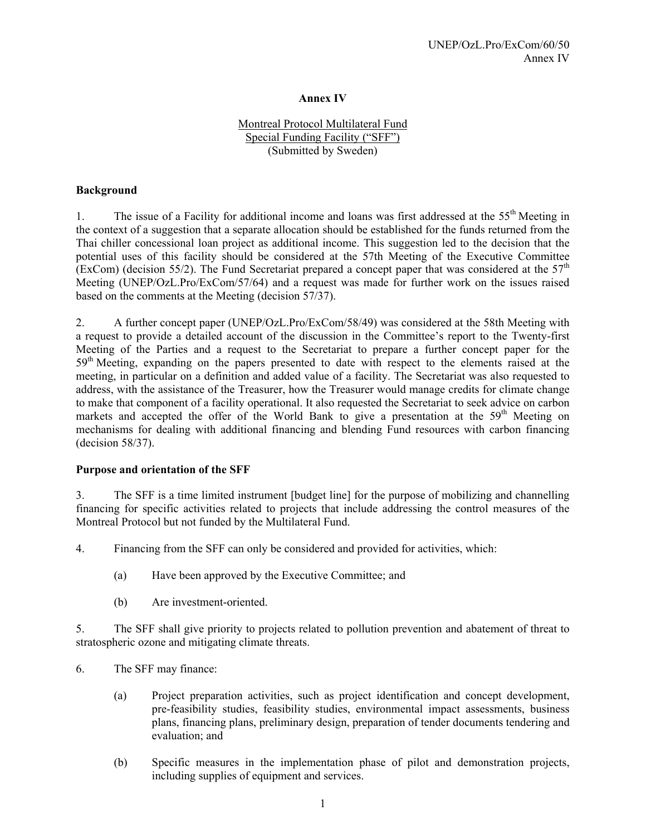# **Annex IV**

# Montreal Protocol Multilateral Fund Special Funding Facility ("SFF") (Submitted by Sweden)

#### **Background**

1. The issue of a Facility for additional income and loans was first addressed at the 55<sup>th</sup> Meeting in the context of a suggestion that a separate allocation should be established for the funds returned from the Thai chiller concessional loan project as additional income. This suggestion led to the decision that the potential uses of this facility should be considered at the 57th Meeting of the Executive Committee (ExCom) (decision 55/2). The Fund Secretariat prepared a concept paper that was considered at the  $57<sup>th</sup>$ Meeting (UNEP/OzL.Pro/ExCom/57/64) and a request was made for further work on the issues raised based on the comments at the Meeting (decision 57/37).

2. A further concept paper (UNEP/OzL.Pro/ExCom/58/49) was considered at the 58th Meeting with a request to provide a detailed account of the discussion in the Committee's report to the Twenty-first Meeting of the Parties and a request to the Secretariat to prepare a further concept paper for the 59<sup>th</sup> Meeting, expanding on the papers presented to date with respect to the elements raised at the meeting, in particular on a definition and added value of a facility. The Secretariat was also requested to address, with the assistance of the Treasurer, how the Treasurer would manage credits for climate change to make that component of a facility operational. It also requested the Secretariat to seek advice on carbon markets and accepted the offer of the World Bank to give a presentation at the  $59<sup>th</sup>$  Meeting on mechanisms for dealing with additional financing and blending Fund resources with carbon financing (decision 58/37).

#### **Purpose and orientation of the SFF**

3. The SFF is a time limited instrument [budget line] for the purpose of mobilizing and channelling financing for specific activities related to projects that include addressing the control measures of the Montreal Protocol but not funded by the Multilateral Fund.

4. Financing from the SFF can only be considered and provided for activities, which:

- (a) Have been approved by the Executive Committee; and
- (b) Are investment-oriented.

5. The SFF shall give priority to projects related to pollution prevention and abatement of threat to stratospheric ozone and mitigating climate threats.

- 6. The SFF may finance:
	- (a) Project preparation activities, such as project identification and concept development, pre-feasibility studies, feasibility studies, environmental impact assessments, business plans, financing plans, preliminary design, preparation of tender documents tendering and evaluation; and
	- (b) Specific measures in the implementation phase of pilot and demonstration projects, including supplies of equipment and services.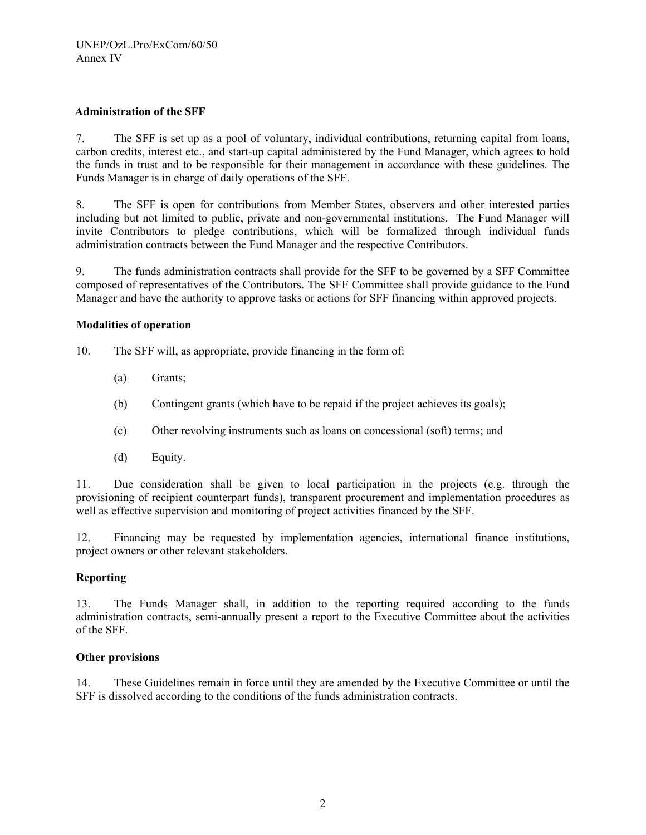#### **Administration of the SFF**

7. The SFF is set up as a pool of voluntary, individual contributions, returning capital from loans, carbon credits, interest etc., and start-up capital administered by the Fund Manager, which agrees to hold the funds in trust and to be responsible for their management in accordance with these guidelines. The Funds Manager is in charge of daily operations of the SFF.

8. The SFF is open for contributions from Member States, observers and other interested parties including but not limited to public, private and non-governmental institutions. The Fund Manager will invite Contributors to pledge contributions, which will be formalized through individual funds administration contracts between the Fund Manager and the respective Contributors.

9. The funds administration contracts shall provide for the SFF to be governed by a SFF Committee composed of representatives of the Contributors. The SFF Committee shall provide guidance to the Fund Manager and have the authority to approve tasks or actions for SFF financing within approved projects.

#### **Modalities of operation**

- 10. The SFF will, as appropriate, provide financing in the form of:
	- (a) Grants;
	- (b) Contingent grants (which have to be repaid if the project achieves its goals);
	- (c) Other revolving instruments such as loans on concessional (soft) terms; and
	- (d) Equity.

11. Due consideration shall be given to local participation in the projects (e.g. through the provisioning of recipient counterpart funds), transparent procurement and implementation procedures as well as effective supervision and monitoring of project activities financed by the SFF.

12. Financing may be requested by implementation agencies, international finance institutions, project owners or other relevant stakeholders.

#### **Reporting**

13. The Funds Manager shall, in addition to the reporting required according to the funds administration contracts, semi-annually present a report to the Executive Committee about the activities of the SFF.

#### **Other provisions**

14. These Guidelines remain in force until they are amended by the Executive Committee or until the SFF is dissolved according to the conditions of the funds administration contracts.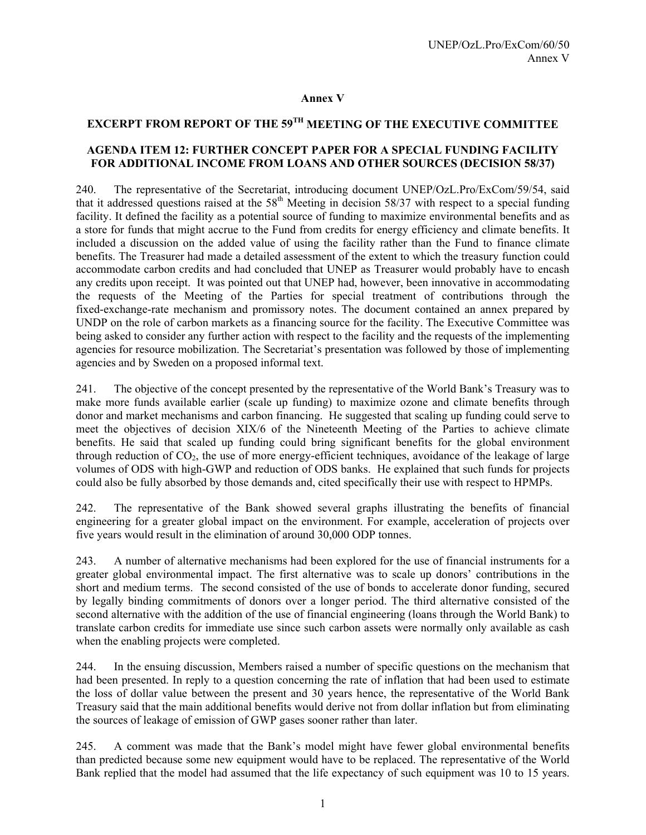#### **Annex V**

# **EXCERPT FROM REPORT OF THE 59TH MEETING OF THE EXECUTIVE COMMITTEE**

#### **AGENDA ITEM 12: FURTHER CONCEPT PAPER FOR A SPECIAL FUNDING FACILITY FOR ADDITIONAL INCOME FROM LOANS AND OTHER SOURCES (DECISION 58/37)**

240. The representative of the Secretariat, introducing document UNEP/OzL.Pro/ExCom/59/54, said that it addressed questions raised at the  $58<sup>th</sup>$  Meeting in decision  $58/37$  with respect to a special funding facility. It defined the facility as a potential source of funding to maximize environmental benefits and as a store for funds that might accrue to the Fund from credits for energy efficiency and climate benefits. It included a discussion on the added value of using the facility rather than the Fund to finance climate benefits. The Treasurer had made a detailed assessment of the extent to which the treasury function could accommodate carbon credits and had concluded that UNEP as Treasurer would probably have to encash any credits upon receipt. It was pointed out that UNEP had, however, been innovative in accommodating the requests of the Meeting of the Parties for special treatment of contributions through the fixed-exchange-rate mechanism and promissory notes. The document contained an annex prepared by UNDP on the role of carbon markets as a financing source for the facility. The Executive Committee was being asked to consider any further action with respect to the facility and the requests of the implementing agencies for resource mobilization. The Secretariat's presentation was followed by those of implementing agencies and by Sweden on a proposed informal text.

241. The objective of the concept presented by the representative of the World Bank's Treasury was to make more funds available earlier (scale up funding) to maximize ozone and climate benefits through donor and market mechanisms and carbon financing. He suggested that scaling up funding could serve to meet the objectives of decision XIX/6 of the Nineteenth Meeting of the Parties to achieve climate benefits. He said that scaled up funding could bring significant benefits for the global environment through reduction of  $CO<sub>2</sub>$ , the use of more energy-efficient techniques, avoidance of the leakage of large volumes of ODS with high-GWP and reduction of ODS banks. He explained that such funds for projects could also be fully absorbed by those demands and, cited specifically their use with respect to HPMPs.

242. The representative of the Bank showed several graphs illustrating the benefits of financial engineering for a greater global impact on the environment. For example, acceleration of projects over five years would result in the elimination of around 30,000 ODP tonnes.

243. A number of alternative mechanisms had been explored for the use of financial instruments for a greater global environmental impact. The first alternative was to scale up donors' contributions in the short and medium terms. The second consisted of the use of bonds to accelerate donor funding, secured by legally binding commitments of donors over a longer period. The third alternative consisted of the second alternative with the addition of the use of financial engineering (loans through the World Bank) to translate carbon credits for immediate use since such carbon assets were normally only available as cash when the enabling projects were completed.

244. In the ensuing discussion, Members raised a number of specific questions on the mechanism that had been presented. In reply to a question concerning the rate of inflation that had been used to estimate the loss of dollar value between the present and 30 years hence, the representative of the World Bank Treasury said that the main additional benefits would derive not from dollar inflation but from eliminating the sources of leakage of emission of GWP gases sooner rather than later.

245. A comment was made that the Bank's model might have fewer global environmental benefits than predicted because some new equipment would have to be replaced. The representative of the World Bank replied that the model had assumed that the life expectancy of such equipment was 10 to 15 years.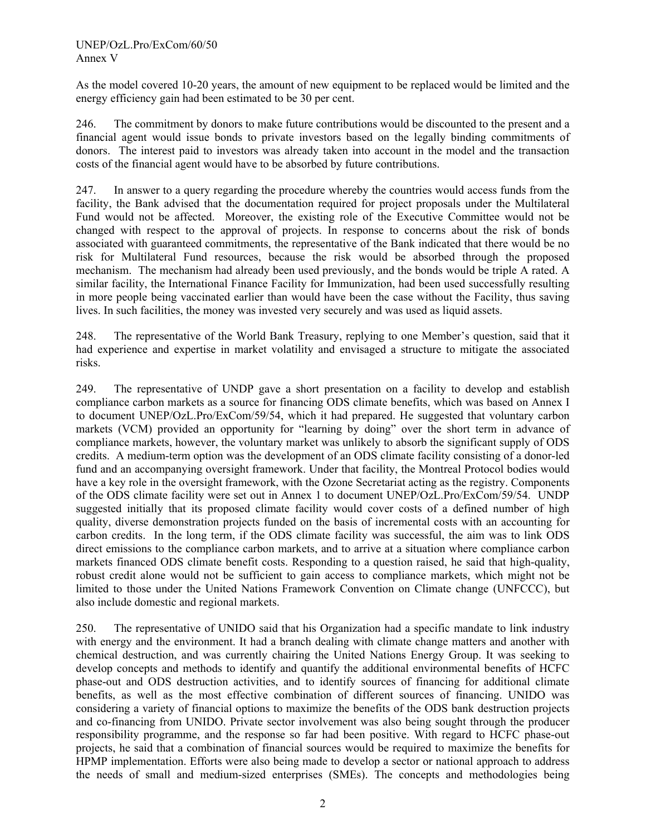As the model covered 10-20 years, the amount of new equipment to be replaced would be limited and the energy efficiency gain had been estimated to be 30 per cent.

246. The commitment by donors to make future contributions would be discounted to the present and a financial agent would issue bonds to private investors based on the legally binding commitments of donors. The interest paid to investors was already taken into account in the model and the transaction costs of the financial agent would have to be absorbed by future contributions.

247. In answer to a query regarding the procedure whereby the countries would access funds from the facility, the Bank advised that the documentation required for project proposals under the Multilateral Fund would not be affected. Moreover, the existing role of the Executive Committee would not be changed with respect to the approval of projects. In response to concerns about the risk of bonds associated with guaranteed commitments, the representative of the Bank indicated that there would be no risk for Multilateral Fund resources, because the risk would be absorbed through the proposed mechanism. The mechanism had already been used previously, and the bonds would be triple A rated. A similar facility, the International Finance Facility for Immunization, had been used successfully resulting in more people being vaccinated earlier than would have been the case without the Facility, thus saving lives. In such facilities, the money was invested very securely and was used as liquid assets.

248. The representative of the World Bank Treasury, replying to one Member's question, said that it had experience and expertise in market volatility and envisaged a structure to mitigate the associated risks.

249. The representative of UNDP gave a short presentation on a facility to develop and establish compliance carbon markets as a source for financing ODS climate benefits, which was based on Annex I to document UNEP/OzL.Pro/ExCom/59/54, which it had prepared. He suggested that voluntary carbon markets (VCM) provided an opportunity for "learning by doing" over the short term in advance of compliance markets, however, the voluntary market was unlikely to absorb the significant supply of ODS credits. A medium-term option was the development of an ODS climate facility consisting of a donor-led fund and an accompanying oversight framework. Under that facility, the Montreal Protocol bodies would have a key role in the oversight framework, with the Ozone Secretariat acting as the registry. Components of the ODS climate facility were set out in Annex 1 to document UNEP/OzL.Pro/ExCom/59/54. UNDP suggested initially that its proposed climate facility would cover costs of a defined number of high quality, diverse demonstration projects funded on the basis of incremental costs with an accounting for carbon credits. In the long term, if the ODS climate facility was successful, the aim was to link ODS direct emissions to the compliance carbon markets, and to arrive at a situation where compliance carbon markets financed ODS climate benefit costs. Responding to a question raised, he said that high-quality, robust credit alone would not be sufficient to gain access to compliance markets, which might not be limited to those under the United Nations Framework Convention on Climate change (UNFCCC), but also include domestic and regional markets.

250. The representative of UNIDO said that his Organization had a specific mandate to link industry with energy and the environment. It had a branch dealing with climate change matters and another with chemical destruction, and was currently chairing the United Nations Energy Group. It was seeking to develop concepts and methods to identify and quantify the additional environmental benefits of HCFC phase-out and ODS destruction activities, and to identify sources of financing for additional climate benefits, as well as the most effective combination of different sources of financing. UNIDO was considering a variety of financial options to maximize the benefits of the ODS bank destruction projects and co-financing from UNIDO. Private sector involvement was also being sought through the producer responsibility programme, and the response so far had been positive. With regard to HCFC phase-out projects, he said that a combination of financial sources would be required to maximize the benefits for HPMP implementation. Efforts were also being made to develop a sector or national approach to address the needs of small and medium-sized enterprises (SMEs). The concepts and methodologies being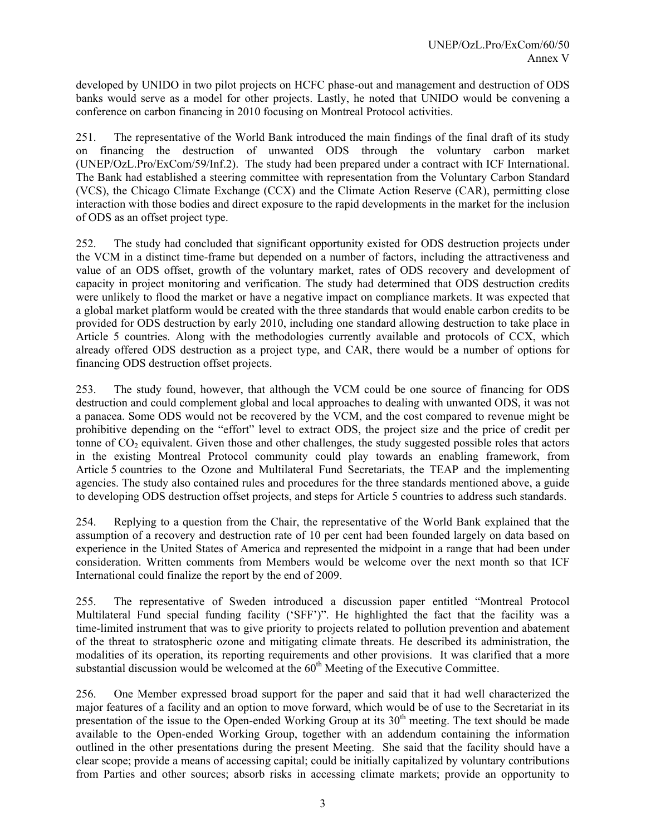developed by UNIDO in two pilot projects on HCFC phase-out and management and destruction of ODS banks would serve as a model for other projects. Lastly, he noted that UNIDO would be convening a conference on carbon financing in 2010 focusing on Montreal Protocol activities.

251. The representative of the World Bank introduced the main findings of the final draft of its study on financing the destruction of unwanted ODS through the voluntary carbon market (UNEP/OzL.Pro/ExCom/59/Inf.2). The study had been prepared under a contract with ICF International. The Bank had established a steering committee with representation from the Voluntary Carbon Standard (VCS), the Chicago Climate Exchange (CCX) and the Climate Action Reserve (CAR), permitting close interaction with those bodies and direct exposure to the rapid developments in the market for the inclusion of ODS as an offset project type.

252. The study had concluded that significant opportunity existed for ODS destruction projects under the VCM in a distinct time-frame but depended on a number of factors, including the attractiveness and value of an ODS offset, growth of the voluntary market, rates of ODS recovery and development of capacity in project monitoring and verification. The study had determined that ODS destruction credits were unlikely to flood the market or have a negative impact on compliance markets. It was expected that a global market platform would be created with the three standards that would enable carbon credits to be provided for ODS destruction by early 2010, including one standard allowing destruction to take place in Article 5 countries. Along with the methodologies currently available and protocols of CCX, which already offered ODS destruction as a project type, and CAR, there would be a number of options for financing ODS destruction offset projects.

253. The study found, however, that although the VCM could be one source of financing for ODS destruction and could complement global and local approaches to dealing with unwanted ODS, it was not a panacea. Some ODS would not be recovered by the VCM, and the cost compared to revenue might be prohibitive depending on the "effort" level to extract ODS, the project size and the price of credit per tonne of  $CO<sub>2</sub>$  equivalent. Given those and other challenges, the study suggested possible roles that actors in the existing Montreal Protocol community could play towards an enabling framework, from Article 5 countries to the Ozone and Multilateral Fund Secretariats, the TEAP and the implementing agencies. The study also contained rules and procedures for the three standards mentioned above, a guide to developing ODS destruction offset projects, and steps for Article 5 countries to address such standards.

254. Replying to a question from the Chair, the representative of the World Bank explained that the assumption of a recovery and destruction rate of 10 per cent had been founded largely on data based on experience in the United States of America and represented the midpoint in a range that had been under consideration. Written comments from Members would be welcome over the next month so that ICF International could finalize the report by the end of 2009.

255. The representative of Sweden introduced a discussion paper entitled "Montreal Protocol Multilateral Fund special funding facility ('SFF')". He highlighted the fact that the facility was a time-limited instrument that was to give priority to projects related to pollution prevention and abatement of the threat to stratospheric ozone and mitigating climate threats. He described its administration, the modalities of its operation, its reporting requirements and other provisions. It was clarified that a more substantial discussion would be welcomed at the  $60<sup>th</sup>$  Meeting of the Executive Committee.

256. One Member expressed broad support for the paper and said that it had well characterized the major features of a facility and an option to move forward, which would be of use to the Secretariat in its presentation of the issue to the Open-ended Working Group at its  $30<sup>th</sup>$  meeting. The text should be made available to the Open-ended Working Group, together with an addendum containing the information outlined in the other presentations during the present Meeting. She said that the facility should have a clear scope; provide a means of accessing capital; could be initially capitalized by voluntary contributions from Parties and other sources; absorb risks in accessing climate markets; provide an opportunity to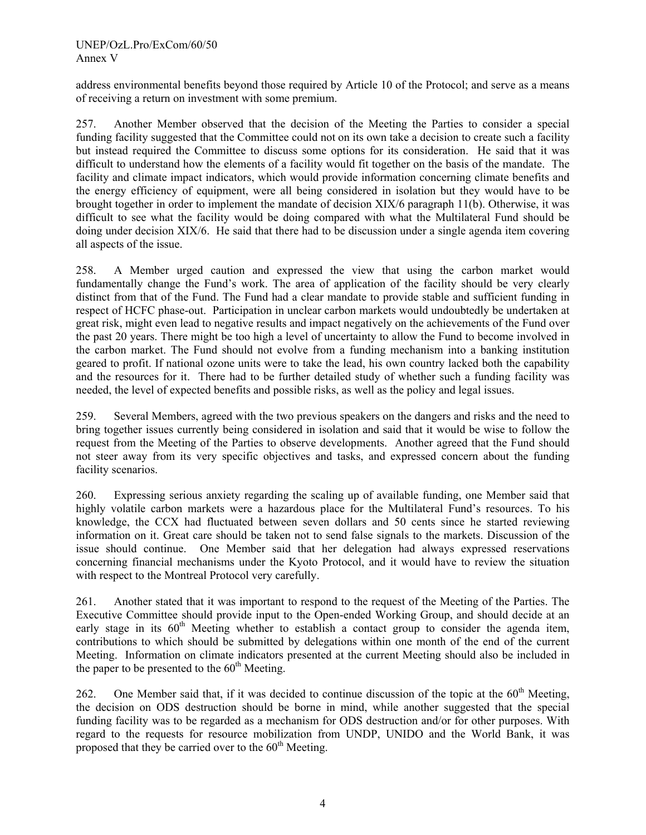address environmental benefits beyond those required by Article 10 of the Protocol; and serve as a means of receiving a return on investment with some premium.

257. Another Member observed that the decision of the Meeting the Parties to consider a special funding facility suggested that the Committee could not on its own take a decision to create such a facility but instead required the Committee to discuss some options for its consideration. He said that it was difficult to understand how the elements of a facility would fit together on the basis of the mandate. The facility and climate impact indicators, which would provide information concerning climate benefits and the energy efficiency of equipment, were all being considered in isolation but they would have to be brought together in order to implement the mandate of decision XIX/6 paragraph 11(b). Otherwise, it was difficult to see what the facility would be doing compared with what the Multilateral Fund should be doing under decision XIX/6. He said that there had to be discussion under a single agenda item covering all aspects of the issue.

258. A Member urged caution and expressed the view that using the carbon market would fundamentally change the Fund's work. The area of application of the facility should be very clearly distinct from that of the Fund. The Fund had a clear mandate to provide stable and sufficient funding in respect of HCFC phase-out. Participation in unclear carbon markets would undoubtedly be undertaken at great risk, might even lead to negative results and impact negatively on the achievements of the Fund over the past 20 years. There might be too high a level of uncertainty to allow the Fund to become involved in the carbon market. The Fund should not evolve from a funding mechanism into a banking institution geared to profit. If national ozone units were to take the lead, his own country lacked both the capability and the resources for it. There had to be further detailed study of whether such a funding facility was needed, the level of expected benefits and possible risks, as well as the policy and legal issues.

259. Several Members, agreed with the two previous speakers on the dangers and risks and the need to bring together issues currently being considered in isolation and said that it would be wise to follow the request from the Meeting of the Parties to observe developments. Another agreed that the Fund should not steer away from its very specific objectives and tasks, and expressed concern about the funding facility scenarios.

260. Expressing serious anxiety regarding the scaling up of available funding, one Member said that highly volatile carbon markets were a hazardous place for the Multilateral Fund's resources. To his knowledge, the CCX had fluctuated between seven dollars and 50 cents since he started reviewing information on it. Great care should be taken not to send false signals to the markets. Discussion of the issue should continue. One Member said that her delegation had always expressed reservations concerning financial mechanisms under the Kyoto Protocol, and it would have to review the situation with respect to the Montreal Protocol very carefully.

261. Another stated that it was important to respond to the request of the Meeting of the Parties. The Executive Committee should provide input to the Open-ended Working Group, and should decide at an early stage in its  $60<sup>th</sup>$  Meeting whether to establish a contact group to consider the agenda item, contributions to which should be submitted by delegations within one month of the end of the current Meeting. Information on climate indicators presented at the current Meeting should also be included in the paper to be presented to the  $60<sup>th</sup>$  Meeting.

262. One Member said that, if it was decided to continue discussion of the topic at the  $60<sup>th</sup>$  Meeting, the decision on ODS destruction should be borne in mind, while another suggested that the special funding facility was to be regarded as a mechanism for ODS destruction and/or for other purposes. With regard to the requests for resource mobilization from UNDP, UNIDO and the World Bank, it was proposed that they be carried over to the  $60<sup>th</sup>$  Meeting.